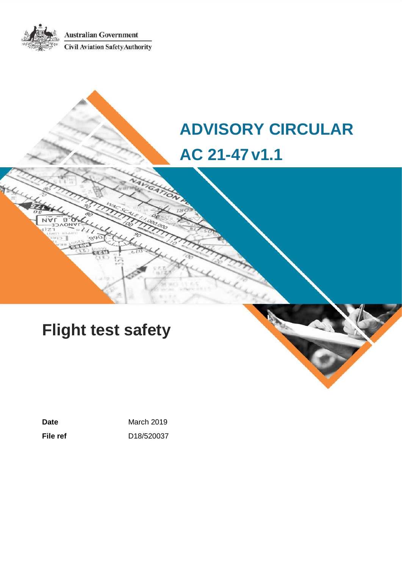**Australian Government Civil Aviation Safety Authority** 

# **ADVISORY CIRCULAR AC 21-47v1.1**

# **Flight test safety**

Date **Date March 2019 File ref** D18/520037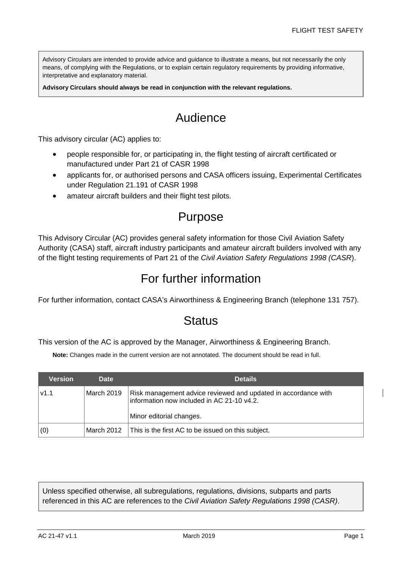Advisory Circulars are intended to provide advice and guidance to illustrate a means, but not necessarily the only means, of complying with the Regulations, or to explain certain regulatory requirements by providing informative, interpretative and explanatory material.

**Advisory Circulars should always be read in conjunction with the relevant regulations.**

# Audience

This advisory circular (AC) applies to:

- people responsible for, or participating in, the flight testing of aircraft certificated or manufactured under Part 21 of CASR 1998
- applicants for, or authorised persons and CASA officers issuing, Experimental Certificates under Regulation 21.191 of CASR 1998
- amateur aircraft builders and their flight test pilots.

## Purpose

This Advisory Circular (AC) provides general safety information for those Civil Aviation Safety Authority (CASA) staff, aircraft industry participants and amateur aircraft builders involved with any of the flight testing requirements of Part 21 of the *Civil Aviation Safety Regulations 1998 (CASR*).

## For further information

For further information, contact CASA's Airworthiness & Engineering Branch (telephone 131 757).

## **Status**

This version of the AC is approved by the Manager, Airworthiness & Engineering Branch.

**Note:** Changes made in the current version are not annotated. The document should be read in full.

| Version | <b>Date</b> | <b>Details</b>                                                                                                                           |
|---------|-------------|------------------------------------------------------------------------------------------------------------------------------------------|
| V1.1    | March 2019  | Risk management advice reviewed and updated in accordance with<br>information now included in AC 21-10 v4.2.<br>Minor editorial changes. |
| (0)     | March 2012  | This is the first AC to be issued on this subject.                                                                                       |

Unless specified otherwise, all subregulations, regulations, divisions, subparts and parts referenced in this AC are references to the *Civil Aviation Safety Regulations 1998 (CASR)*.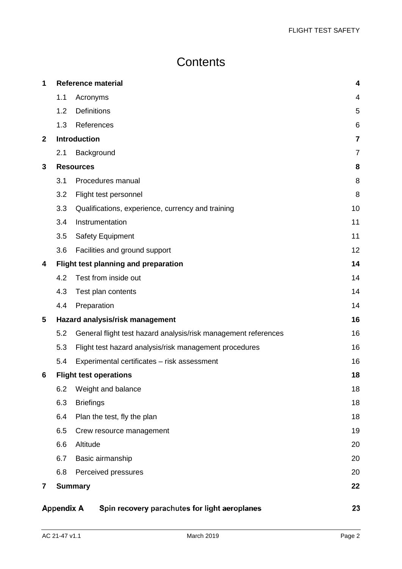# **Contents**

| 1            |                   | <b>Reference material</b>                                      | 4              |
|--------------|-------------------|----------------------------------------------------------------|----------------|
|              | 1.1               | Acronyms                                                       | 4              |
|              | 1.2               | <b>Definitions</b>                                             | 5              |
|              | 1.3               | References                                                     | 6              |
| $\mathbf{2}$ |                   | <b>Introduction</b>                                            | 7              |
|              | 2.1               | Background                                                     | $\overline{7}$ |
| 3            |                   | <b>Resources</b>                                               | 8              |
|              | 3.1               | Procedures manual                                              | 8              |
|              | 3.2               | Flight test personnel                                          | 8              |
|              | 3.3               | Qualifications, experience, currency and training              | 10             |
|              | 3.4               | Instrumentation                                                | 11             |
|              | 3.5               | <b>Safety Equipment</b>                                        | 11             |
|              | 3.6               | Facilities and ground support                                  | 12             |
| 4            |                   | Flight test planning and preparation                           | 14             |
|              | 4.2               | Test from inside out                                           | 14             |
|              | 4.3               | Test plan contents                                             | 14             |
|              | 4.4               | Preparation                                                    | 14             |
| 5            |                   | Hazard analysis/risk management                                | 16             |
|              | 5.2               | General flight test hazard analysis/risk management references | 16             |
|              | 5.3               | Flight test hazard analysis/risk management procedures         | 16             |
|              | 5.4               | Experimental certificates - risk assessment                    | 16             |
| 6            |                   | <b>Flight test operations</b>                                  | 18             |
|              | 6.2               | Weight and balance                                             | 18             |
|              | 6.3               | <b>Briefings</b>                                               | 18             |
|              | 6.4               | Plan the test, fly the plan                                    | 18             |
|              | 6.5               | Crew resource management                                       | 19             |
|              | 6.6               | Altitude                                                       | 20             |
|              | 6.7               | Basic airmanship                                               | 20             |
|              | 6.8               | Perceived pressures                                            | 20             |
| 7            |                   | <b>Summary</b>                                                 | 22             |
|              | <b>Appendix A</b> | Spin recovery parachutes for light aeroplanes                  | 23             |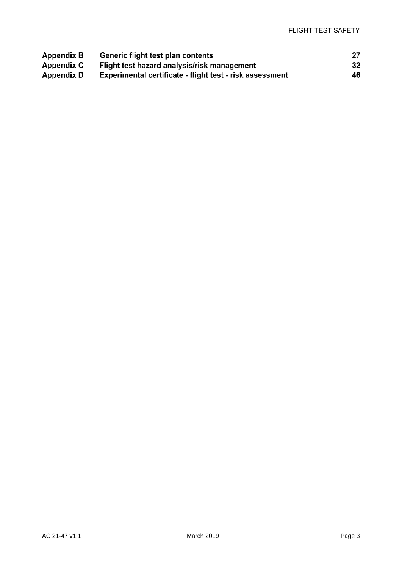| Appendix B | Generic flight test plan contents                        |    |
|------------|----------------------------------------------------------|----|
| Appendix C | Flight test hazard analysis/risk management              | 32 |
| Appendix D | Experimental certificate - flight test - risk assessment | 46 |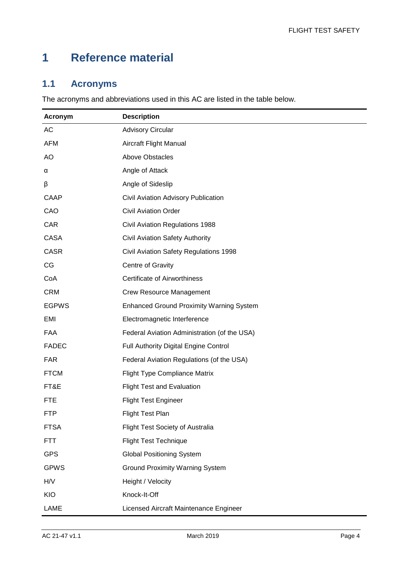# <span id="page-4-0"></span>**1 Reference material**

## <span id="page-4-1"></span>**1.1 Acronyms**

The acronyms and abbreviations used in this AC are listed in the table below.

| Acronym      | <b>Description</b>                              |
|--------------|-------------------------------------------------|
| AC           | <b>Advisory Circular</b>                        |
| <b>AFM</b>   | Aircraft Flight Manual                          |
| <b>AO</b>    | <b>Above Obstacles</b>                          |
| α            | Angle of Attack                                 |
| β            | Angle of Sideslip                               |
| CAAP         | Civil Aviation Advisory Publication             |
| CAO          | <b>Civil Aviation Order</b>                     |
| CAR          | <b>Civil Aviation Regulations 1988</b>          |
| <b>CASA</b>  | <b>Civil Aviation Safety Authority</b>          |
| <b>CASR</b>  | Civil Aviation Safety Regulations 1998          |
| CG           | Centre of Gravity                               |
| CoA          | <b>Certificate of Airworthiness</b>             |
| <b>CRM</b>   | <b>Crew Resource Management</b>                 |
| <b>EGPWS</b> | <b>Enhanced Ground Proximity Warning System</b> |
| EMI          | Electromagnetic Interference                    |
| FAA          | Federal Aviation Administration (of the USA)    |
| <b>FADEC</b> | Full Authority Digital Engine Control           |
| <b>FAR</b>   | Federal Aviation Regulations (of the USA)       |
| <b>FTCM</b>  | <b>Flight Type Compliance Matrix</b>            |
| FT&E         | <b>Flight Test and Evaluation</b>               |
| <b>FTE</b>   | <b>Flight Test Engineer</b>                     |
| <b>FTP</b>   | Flight Test Plan                                |
| <b>FTSA</b>  | Flight Test Society of Australia                |
| <b>FTT</b>   | <b>Flight Test Technique</b>                    |
| <b>GPS</b>   | <b>Global Positioning System</b>                |
| <b>GPWS</b>  | <b>Ground Proximity Warning System</b>          |
| H/V          | Height / Velocity                               |
| KIO          | Knock-It-Off                                    |
| LAME         | Licensed Aircraft Maintenance Engineer          |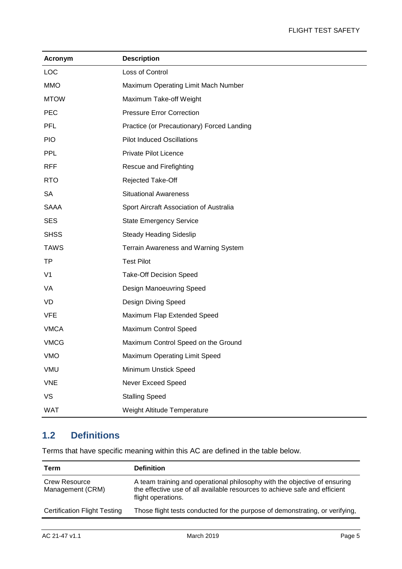| Acronym        | <b>Description</b>                         |
|----------------|--------------------------------------------|
| <b>LOC</b>     | Loss of Control                            |
| <b>MMO</b>     | Maximum Operating Limit Mach Number        |
| <b>MTOW</b>    | Maximum Take-off Weight                    |
| <b>PEC</b>     | <b>Pressure Error Correction</b>           |
| <b>PFL</b>     | Practice (or Precautionary) Forced Landing |
| <b>PIO</b>     | <b>Pilot Induced Oscillations</b>          |
| <b>PPL</b>     | Private Pilot Licence                      |
| <b>RFF</b>     | Rescue and Firefighting                    |
| <b>RTO</b>     | Rejected Take-Off                          |
| <b>SA</b>      | <b>Situational Awareness</b>               |
| <b>SAAA</b>    | Sport Aircraft Association of Australia    |
| <b>SES</b>     | <b>State Emergency Service</b>             |
| <b>SHSS</b>    | <b>Steady Heading Sideslip</b>             |
| <b>TAWS</b>    | Terrain Awareness and Warning System       |
| TP             | <b>Test Pilot</b>                          |
| V <sub>1</sub> | <b>Take-Off Decision Speed</b>             |
| VA             | Design Manoeuvring Speed                   |
| VD             | Design Diving Speed                        |
| <b>VFE</b>     | Maximum Flap Extended Speed                |
| <b>VMCA</b>    | Maximum Control Speed                      |
| <b>VMCG</b>    | Maximum Control Speed on the Ground        |
| <b>VMO</b>     | Maximum Operating Limit Speed              |
| <b>VMU</b>     | Minimum Unstick Speed                      |
| <b>VNE</b>     | Never Exceed Speed                         |
| <b>VS</b>      | <b>Stalling Speed</b>                      |
| <b>WAT</b>     | Weight Altitude Temperature                |

## <span id="page-5-0"></span>**1.2 Definitions**

Terms that have specific meaning within this AC are defined in the table below.

| Term                                     | <b>Definition</b>                                                                                                                                                             |
|------------------------------------------|-------------------------------------------------------------------------------------------------------------------------------------------------------------------------------|
| <b>Crew Resource</b><br>Management (CRM) | A team training and operational philosophy with the objective of ensuring<br>the effective use of all available resources to achieve safe and efficient<br>flight operations. |
| <b>Certification Flight Testing</b>      | Those flight tests conducted for the purpose of demonstrating, or verifying,                                                                                                  |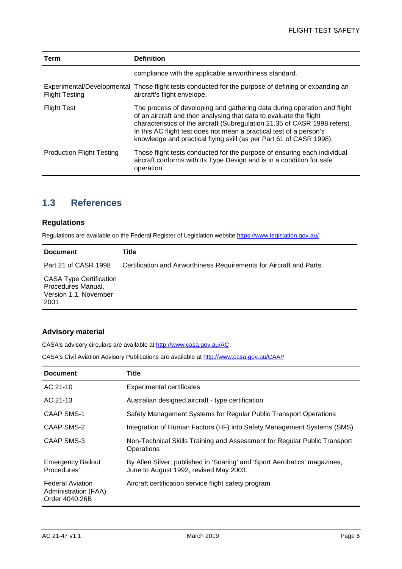| Term                             | <b>Definition</b>                                                                                                                                                                                                                                                                                                                                                          |
|----------------------------------|----------------------------------------------------------------------------------------------------------------------------------------------------------------------------------------------------------------------------------------------------------------------------------------------------------------------------------------------------------------------------|
|                                  | compliance with the applicable airworthiness standard.                                                                                                                                                                                                                                                                                                                     |
| <b>Flight Testing</b>            | Experimental/Developmental Those flight tests conducted for the purpose of defining or expanding an<br>aircraft's flight envelope.                                                                                                                                                                                                                                         |
| <b>Flight Test</b>               | The process of developing and gathering data during operation and flight<br>of an aircraft and then analysing that data to evaluate the flight<br>characteristics of the aircraft (Subregulation 21.35 of CASR 1998 refers).<br>In this AC flight test does not mean a practical test of a person's<br>knowledge and practical flying skill (as per Part 61 of CASR 1998). |
| <b>Production Flight Testing</b> | Those flight tests conducted for the purpose of ensuring each individual<br>aircraft conforms with its Type Design and is in a condition for safe<br>operation.                                                                                                                                                                                                            |

### <span id="page-6-0"></span>**1.3 References**

#### **Regulations**

Regulations are available on the Federal Register of Legislation website<https://www.legislation.gov.au/>

| <b>Document</b>                                                                       | Title                                                                |
|---------------------------------------------------------------------------------------|----------------------------------------------------------------------|
| Part 21 of CASR 1998                                                                  | Certification and Airworthiness Requirements for Aircraft and Parts. |
| <b>CASA Type Certification</b><br>Procedures Manual,<br>Version 1.1, November<br>2001 |                                                                      |

#### **Advisory material**

CASA's advisory circulars are available at [http://www.casa.gov.au/AC](http://www.casa.gov.au/ACs)

CASA's Civil Aviation Advisory Publications are available at [http://www.casa.gov.au/CAAP](http://www.casa.gov.au/CAAPs)

| <b>Document</b>                                                   | Title                                                                                                               |
|-------------------------------------------------------------------|---------------------------------------------------------------------------------------------------------------------|
| AC 21-10                                                          | <b>Experimental certificates</b>                                                                                    |
| AC 21-13                                                          | Australian designed aircraft - type certification                                                                   |
| CAAP SMS-1                                                        | Safety Management Systems for Regular Public Transport Operations                                                   |
| <b>CAAP SMS-2</b>                                                 | Integration of Human Factors (HF) into Safety Management Systems (SMS)                                              |
| CAAP SMS-3                                                        | Non-Technical Skills Training and Assessment for Regular Public Transport<br>Operations                             |
| <b>Emergency Bailout</b><br>Procedures'                           | By Allen Silver; published in 'Soaring' and 'Sport Aerobatics' magazines,<br>June to August 1992, revised May 2003. |
| <b>Federal Aviation</b><br>Administration (FAA)<br>Order 4040.26B | Aircraft certification service flight safety program                                                                |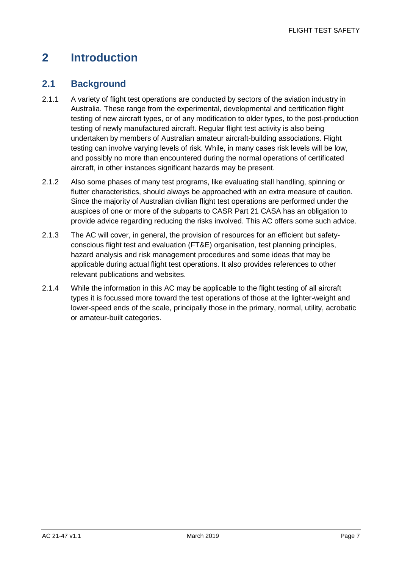# <span id="page-7-0"></span>**2 Introduction**

### <span id="page-7-1"></span>**2.1 Background**

- 2.1.1 A variety of flight test operations are conducted by sectors of the aviation industry in Australia. These range from the experimental, developmental and certification flight testing of new aircraft types, or of any modification to older types, to the post-production testing of newly manufactured aircraft. Regular flight test activity is also being undertaken by members of Australian amateur aircraft-building associations. Flight testing can involve varying levels of risk. While, in many cases risk levels will be low, and possibly no more than encountered during the normal operations of certificated aircraft, in other instances significant hazards may be present.
- 2.1.2 Also some phases of many test programs, like evaluating stall handling, spinning or flutter characteristics, should always be approached with an extra measure of caution. Since the majority of Australian civilian flight test operations are performed under the auspices of one or more of the subparts to CASR Part 21 CASA has an obligation to provide advice regarding reducing the risks involved. This AC offers some such advice.
- 2.1.3 The AC will cover, in general, the provision of resources for an efficient but safetyconscious flight test and evaluation (FT&E) organisation, test planning principles, hazard analysis and risk management procedures and some ideas that may be applicable during actual flight test operations. It also provides references to other relevant publications and websites.
- 2.1.4 While the information in this AC may be applicable to the flight testing of all aircraft types it is focussed more toward the test operations of those at the lighter-weight and lower-speed ends of the scale, principally those in the primary, normal, utility, acrobatic or amateur-built categories.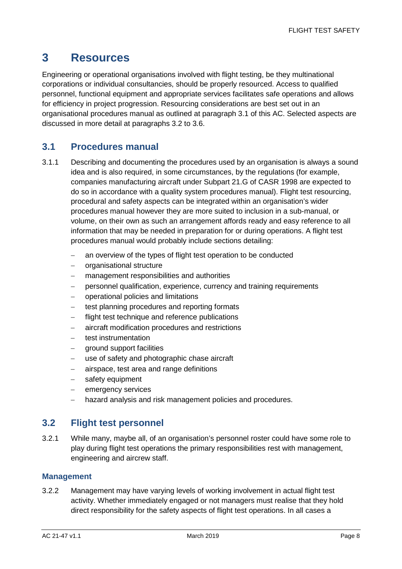## <span id="page-8-0"></span>**3 Resources**

Engineering or operational organisations involved with flight testing, be they multinational corporations or individual consultancies, should be properly resourced. Access to qualified personnel, functional equipment and appropriate services facilitates safe operations and allows for efficiency in project progression. Resourcing considerations are best set out in an organisational procedures manual as outlined at paragraph 3.1 of this AC. Selected aspects are discussed in more detail at paragraphs 3.2 to 3.6.

### <span id="page-8-1"></span>**3.1 Procedures manual**

- 3.1.1 Describing and documenting the procedures used by an organisation is always a sound idea and is also required, in some circumstances, by the regulations (for example, companies manufacturing aircraft under Subpart 21.G of CASR 1998 are expected to do so in accordance with a quality system procedures manual). Flight test resourcing, procedural and safety aspects can be integrated within an organisation's wider procedures manual however they are more suited to inclusion in a sub-manual, or volume, on their own as such an arrangement affords ready and easy reference to all information that may be needed in preparation for or during operations. A flight test procedures manual would probably include sections detailing:
	- − an overview of the types of flight test operation to be conducted
	- − organisational structure
	- − management responsibilities and authorities
	- − personnel qualification, experience, currency and training requirements
	- − operational policies and limitations
	- test planning procedures and reporting formats
	- flight test technique and reference publications
	- − aircraft modification procedures and restrictions
	- − test instrumentation
	- − ground support facilities
	- − use of safety and photographic chase aircraft
	- − airspace, test area and range definitions
	- safety equipment
	- − emergency services
	- hazard analysis and risk management policies and procedures.

#### <span id="page-8-2"></span>**3.2 Flight test personnel**

3.2.1 While many, maybe all, of an organisation's personnel roster could have some role to play during flight test operations the primary responsibilities rest with management, engineering and aircrew staff.

#### **Management**

3.2.2 Management may have varying levels of working involvement in actual flight test activity. Whether immediately engaged or not managers must realise that they hold direct responsibility for the safety aspects of flight test operations. In all cases a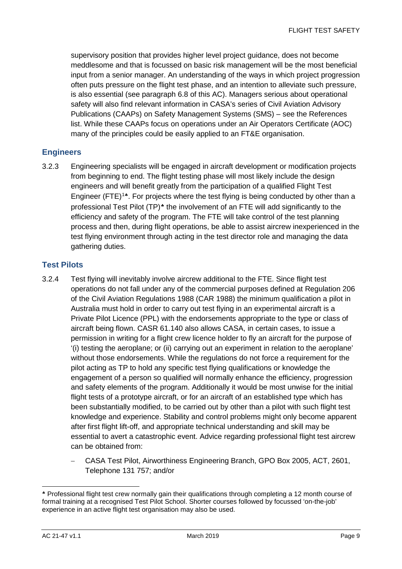supervisory position that provides higher level project guidance, does not become meddlesome and that is focussed on basic risk management will be the most beneficial input from a senior manager. An understanding of the ways in which project progression often puts pressure on the flight test phase, and an intention to alleviate such pressure, is also essential (see paragraph 6.8 of this AC). Managers serious about operational safety will also find relevant information in CASA's series of Civil Aviation Advisory Publications (CAAPs) on Safety Management Systems (SMS) – see the References list. While these CAAPs focus on operations under an Air Operators Certificate (AOC) many of the principles could be easily applied to an FT&E organisation.

#### **Engineers**

3.2.3 Engineering specialists will be engaged in aircraft development or modification projects from beginning to end. The flight testing phase will most likely include the design engineers and will benefit greatly from the participation of a qualified Flight Test Engineer (FTE)<sup>[1](#page-9-0)\*</sup>. For projects where the test flying is being conducted by other than a professional Test Pilot (TP)<sup>\*</sup> the involvement of an FTE will add significantly to the efficiency and safety of the program. The FTE will take control of the test planning process and then, during flight operations, be able to assist aircrew inexperienced in the test flying environment through acting in the test director role and managing the data gathering duties.

#### **Test Pilots**

- 3.2.4 Test flying will inevitably involve aircrew additional to the FTE. Since flight test operations do not fall under any of the commercial purposes defined at Regulation 206 of the Civil Aviation Regulations 1988 (CAR 1988) the minimum qualification a pilot in Australia must hold in order to carry out test flying in an experimental aircraft is a Private Pilot Licence (PPL) with the endorsements appropriate to the type or class of aircraft being flown. CASR 61.140 also allows CASA, in certain cases, to issue a permission in writing for a flight crew licence holder to fly an aircraft for the purpose of '(i) testing the aeroplane; or (ii) carrying out an experiment in relation to the aeroplane' without those endorsements. While the regulations do not force a requirement for the pilot acting as TP to hold any specific test flying qualifications or knowledge the engagement of a person so qualified will normally enhance the efficiency, progression and safety elements of the program. Additionally it would be most unwise for the initial flight tests of a prototype aircraft, or for an aircraft of an established type which has been substantially modified, to be carried out by other than a pilot with such flight test knowledge and experience. Stability and control problems might only become apparent after first flight lift-off, and appropriate technical understanding and skill may be essential to avert a catastrophic event. Advice regarding professional flight test aircrew can be obtained from:
	- − CASA Test Pilot, Airworthiness Engineering Branch, GPO Box 2005, ACT, 2601, Telephone 131 757; and/or

-

<span id="page-9-1"></span><span id="page-9-0"></span><sup>♣</sup> Professional flight test crew normally gain their qualifications through completing a 12 month course of formal training at a recognised Test Pilot School. Shorter courses followed by focussed 'on-the-job' experience in an active flight test organisation may also be used.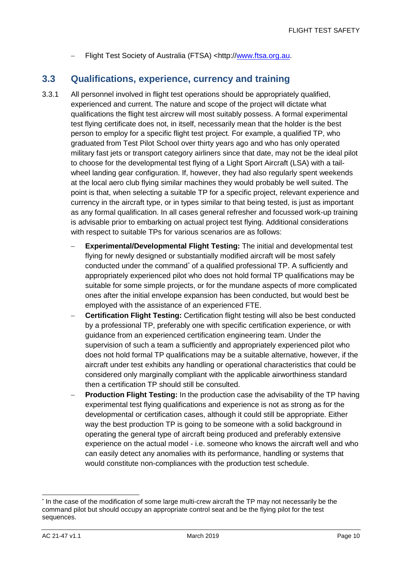− Flight Test Society of Australia (FTSA) <http:/[/www.ftsa.org.au.](http://www.ftsa.org.au/)

### <span id="page-10-0"></span>**3.3 Qualifications, experience, currency and training**

- 3.3.1 All personnel involved in flight test operations should be appropriately qualified, experienced and current. The nature and scope of the project will dictate what qualifications the flight test aircrew will most suitably possess. A formal experimental test flying certificate does not, in itself, necessarily mean that the holder is the best person to employ for a specific flight test project. For example, a qualified TP, who graduated from Test Pilot School over thirty years ago and who has only operated military fast jets or transport category airliners since that date, may not be the ideal pilot to choose for the developmental test flying of a Light Sport Aircraft (LSA) with a tailwheel landing gear configuration. If, however, they had also regularly spent weekends at the local aero club flying similar machines they would probably be well suited. The point is that, when selecting a suitable TP for a specific project, relevant experience and currency in the aircraft type, or in types similar to that being tested, is just as important as any formal qualification. In all cases general refresher and focussed work-up training is advisable prior to embarking on actual project test flying. Additional considerations with respect to suitable TPs for various scenarios are as follows:
	- **Experimental/Developmental Flight Testing:** The initial and developmental test flying for newly designed or substantially modified aircraft will be most safely conducted under the comman[d\\*](#page-10-1) of a qualified professional TP. A sufficiently and appropriately experienced pilot who does not hold formal TP qualifications may be suitable for some simple projects, or for the mundane aspects of more complicated ones after the initial envelope expansion has been conducted, but would best be employed with the assistance of an experienced FTE.
	- − **Certification Flight Testing:** Certification flight testing will also be best conducted by a professional TP, preferably one with specific certification experience, or with guidance from an experienced certification engineering team. Under the supervision of such a team a sufficiently and appropriately experienced pilot who does not hold formal TP qualifications may be a suitable alternative, however, if the aircraft under test exhibits any handling or operational characteristics that could be considered only marginally compliant with the applicable airworthiness standard then a certification TP should still be consulted.
	- **Production Flight Testing:** In the production case the advisability of the TP having experimental test flying qualifications and experience is not as strong as for the developmental or certification cases, although it could still be appropriate. Either way the best production TP is going to be someone with a solid background in operating the general type of aircraft being produced and preferably extensive experience on the actual model - i.e. someone who knows the aircraft well and who can easily detect any anomalies with its performance, handling or systems that would constitute non-compliances with the production test schedule.

<span id="page-10-1"></span> <sup>\*</sup> In the case of the modification of some large multi-crew aircraft the TP may not necessarily be the command pilot but should occupy an appropriate control seat and be the flying pilot for the test sequences.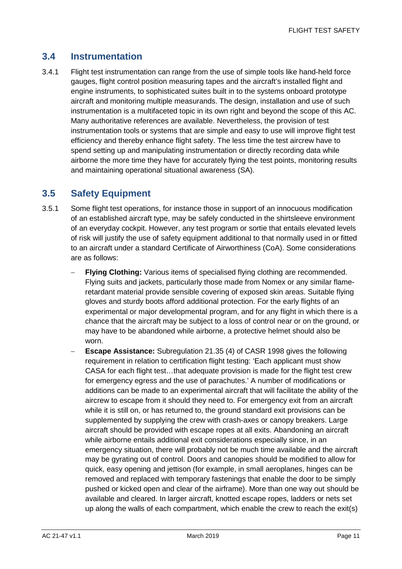### <span id="page-11-0"></span>**3.4 Instrumentation**

3.4.1 Flight test instrumentation can range from the use of simple tools like hand-held force gauges, flight control position measuring tapes and the aircraft's installed flight and engine instruments, to sophisticated suites built in to the systems onboard prototype aircraft and monitoring multiple measurands. The design, installation and use of such instrumentation is a multifaceted topic in its own right and beyond the scope of this AC. Many authoritative references are available. Nevertheless, the provision of test instrumentation tools or systems that are simple and easy to use will improve flight test efficiency and thereby enhance flight safety. The less time the test aircrew have to spend setting up and manipulating instrumentation or directly recording data while airborne the more time they have for accurately flying the test points, monitoring results and maintaining operational situational awareness (SA).

### <span id="page-11-1"></span>**3.5 Safety Equipment**

- 3.5.1 Some flight test operations, for instance those in support of an innocuous modification of an established aircraft type, may be safely conducted in the shirtsleeve environment of an everyday cockpit. However, any test program or sortie that entails elevated levels of risk will justify the use of safety equipment additional to that normally used in or fitted to an aircraft under a standard Certificate of Airworthiness (CoA). Some considerations are as follows:
	- **Flying Clothing:** Various items of specialised flying clothing are recommended. Flying suits and jackets, particularly those made from Nomex or any similar flameretardant material provide sensible covering of exposed skin areas. Suitable flying gloves and sturdy boots afford additional protection. For the early flights of an experimental or major developmental program, and for any flight in which there is a chance that the aircraft may be subject to a loss of control near or on the ground, or may have to be abandoned while airborne, a protective helmet should also be worn.
	- **Escape Assistance:** Subregulation 21.35 (4) of CASR 1998 gives the following requirement in relation to certification flight testing: 'Each applicant must show CASA for each flight test…that adequate provision is made for the flight test crew for emergency egress and the use of parachutes.' A number of modifications or additions can be made to an experimental aircraft that will facilitate the ability of the aircrew to escape from it should they need to. For emergency exit from an aircraft while it is still on, or has returned to, the ground standard exit provisions can be supplemented by supplying the crew with crash-axes or canopy breakers. Large aircraft should be provided with escape ropes at all exits. Abandoning an aircraft while airborne entails additional exit considerations especially since, in an emergency situation, there will probably not be much time available and the aircraft may be gyrating out of control. Doors and canopies should be modified to allow for quick, easy opening and jettison (for example, in small aeroplanes, hinges can be removed and replaced with temporary fastenings that enable the door to be simply pushed or kicked open and clear of the airframe). More than one way out should be available and cleared. In larger aircraft, knotted escape ropes, ladders or nets set up along the walls of each compartment, which enable the crew to reach the exit(s)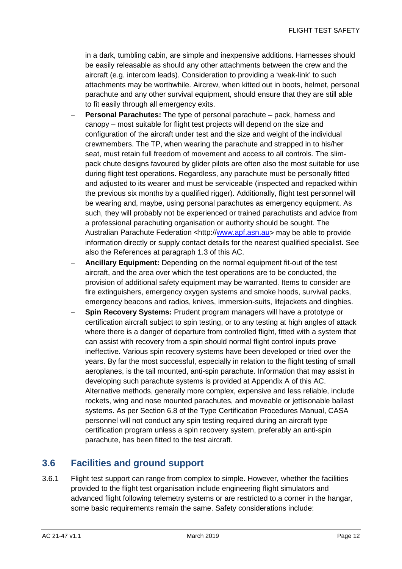in a dark, tumbling cabin, are simple and inexpensive additions. Harnesses should be easily releasable as should any other attachments between the crew and the aircraft (e.g. intercom leads). Consideration to providing a 'weak-link' to such attachments may be worthwhile. Aircrew, when kitted out in boots, helmet, personal parachute and any other survival equipment, should ensure that they are still able to fit easily through all emergency exits.

- **Personal Parachutes:** The type of personal parachute pack, harness and canopy – most suitable for flight test projects will depend on the size and configuration of the aircraft under test and the size and weight of the individual crewmembers. The TP, when wearing the parachute and strapped in to his/her seat, must retain full freedom of movement and access to all controls. The slimpack chute designs favoured by glider pilots are often also the most suitable for use during flight test operations. Regardless, any parachute must be personally fitted and adjusted to its wearer and must be serviceable (inspected and repacked within the previous six months by a qualified rigger). Additionally, flight test personnel will be wearing and, maybe, using personal parachutes as emergency equipment. As such, they will probably not be experienced or trained parachutists and advice from a professional parachuting organisation or authority should be sought. The Australian Parachute Federation <http:/[/www.apf.asn.au>](http://www.apf.asn.au/) may be able to provide information directly or supply contact details for the nearest qualified specialist. See also the References at paragraph 1.3 of this AC.
- − **Ancillary Equipment:** Depending on the normal equipment fit-out of the test aircraft, and the area over which the test operations are to be conducted, the provision of additional safety equipment may be warranted. Items to consider are fire extinguishers, emergency oxygen systems and smoke hoods, survival packs, emergency beacons and radios, knives, immersion-suits, lifejackets and dinghies.
- **Spin Recovery Systems:** Prudent program managers will have a prototype or certification aircraft subject to spin testing, or to any testing at high angles of attack where there is a danger of departure from controlled flight, fitted with a system that can assist with recovery from a spin should normal flight control inputs prove ineffective. Various spin recovery systems have been developed or tried over the years. By far the most successful, especially in relation to the flight testing of small aeroplanes, is the tail mounted, anti-spin parachute. Information that may assist in developing such parachute systems is provided at Appendix A of this AC. Alternative methods, generally more complex, expensive and less reliable, include rockets, wing and nose mounted parachutes, and moveable or jettisonable ballast systems. As per Section 6.8 of the Type Certification Procedures Manual, CASA personnel will not conduct any spin testing required during an aircraft type certification program unless a spin recovery system, preferably an anti-spin parachute, has been fitted to the test aircraft.

### <span id="page-12-0"></span>**3.6 Facilities and ground support**

3.6.1 Flight test support can range from complex to simple. However, whether the facilities provided to the flight test organisation include engineering flight simulators and advanced flight following telemetry systems or are restricted to a corner in the hangar, some basic requirements remain the same. Safety considerations include: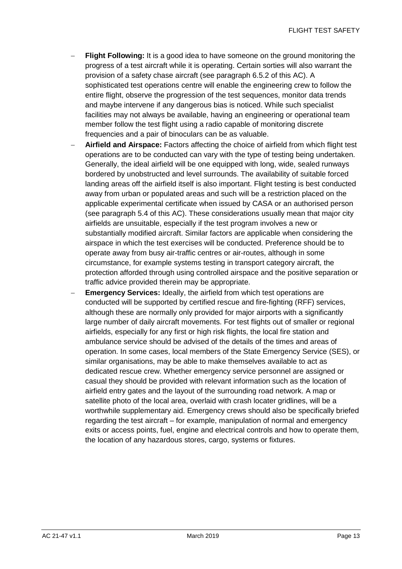- **Flight Following:** It is a good idea to have someone on the ground monitoring the progress of a test aircraft while it is operating. Certain sorties will also warrant the provision of a safety chase aircraft (see paragraph 6.5.2 of this AC). A sophisticated test operations centre will enable the engineering crew to follow the entire flight, observe the progression of the test sequences, monitor data trends and maybe intervene if any dangerous bias is noticed. While such specialist facilities may not always be available, having an engineering or operational team member follow the test flight using a radio capable of monitoring discrete frequencies and a pair of binoculars can be as valuable.
- − **Airfield and Airspace:** Factors affecting the choice of airfield from which flight test operations are to be conducted can vary with the type of testing being undertaken. Generally, the ideal airfield will be one equipped with long, wide, sealed runways bordered by unobstructed and level surrounds. The availability of suitable forced landing areas off the airfield itself is also important. Flight testing is best conducted away from urban or populated areas and such will be a restriction placed on the applicable experimental certificate when issued by CASA or an authorised person (see paragraph 5.4 of this AC). These considerations usually mean that major city airfields are unsuitable, especially if the test program involves a new or substantially modified aircraft. Similar factors are applicable when considering the airspace in which the test exercises will be conducted. Preference should be to operate away from busy air-traffic centres or air-routes, although in some circumstance, for example systems testing in transport category aircraft, the protection afforded through using controlled airspace and the positive separation or traffic advice provided therein may be appropriate.
- **Emergency Services:** Ideally, the airfield from which test operations are conducted will be supported by certified rescue and fire-fighting (RFF) services, although these are normally only provided for major airports with a significantly large number of daily aircraft movements. For test flights out of smaller or regional airfields, especially for any first or high risk flights, the local fire station and ambulance service should be advised of the details of the times and areas of operation. In some cases, local members of the State Emergency Service (SES), or similar organisations, may be able to make themselves available to act as dedicated rescue crew. Whether emergency service personnel are assigned or casual they should be provided with relevant information such as the location of airfield entry gates and the layout of the surrounding road network. A map or satellite photo of the local area, overlaid with crash locater gridlines, will be a worthwhile supplementary aid. Emergency crews should also be specifically briefed regarding the test aircraft – for example, manipulation of normal and emergency exits or access points, fuel, engine and electrical controls and how to operate them, the location of any hazardous stores, cargo, systems or fixtures.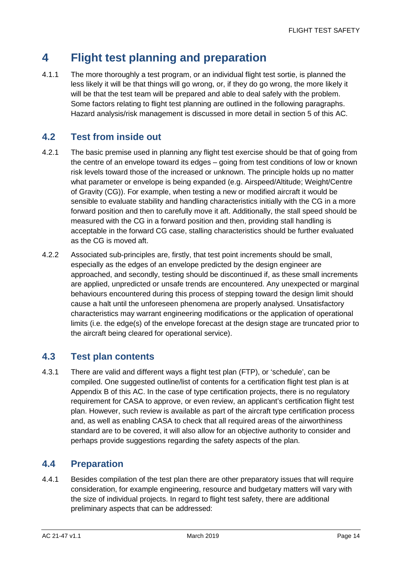# <span id="page-14-0"></span>**4 Flight test planning and preparation**

4.1.1 The more thoroughly a test program, or an individual flight test sortie, is planned the less likely it will be that things will go wrong, or, if they do go wrong, the more likely it will be that the test team will be prepared and able to deal safely with the problem. Some factors relating to flight test planning are outlined in the following paragraphs. Hazard analysis/risk management is discussed in more detail in section 5 of this AC.

## <span id="page-14-1"></span>**4.2 Test from inside out**

- 4.2.1 The basic premise used in planning any flight test exercise should be that of going from the centre of an envelope toward its edges – going from test conditions of low or known risk levels toward those of the increased or unknown. The principle holds up no matter what parameter or envelope is being expanded (e.g. Airspeed/Altitude; Weight/Centre of Gravity (CG)). For example, when testing a new or modified aircraft it would be sensible to evaluate stability and handling characteristics initially with the CG in a more forward position and then to carefully move it aft. Additionally, the stall speed should be measured with the CG in a forward position and then, providing stall handling is acceptable in the forward CG case, stalling characteristics should be further evaluated as the CG is moved aft.
- 4.2.2 Associated sub-principles are, firstly, that test point increments should be small, especially as the edges of an envelope predicted by the design engineer are approached, and secondly, testing should be discontinued if, as these small increments are applied, unpredicted or unsafe trends are encountered. Any unexpected or marginal behaviours encountered during this process of stepping toward the design limit should cause a halt until the unforeseen phenomena are properly analysed. Unsatisfactory characteristics may warrant engineering modifications or the application of operational limits (i.e. the edge(s) of the envelope forecast at the design stage are truncated prior to the aircraft being cleared for operational service).

## <span id="page-14-2"></span>**4.3 Test plan contents**

4.3.1 There are valid and different ways a flight test plan (FTP), or 'schedule', can be compiled. One suggested outline/list of contents for a certification flight test plan is at Appendix B of this AC. In the case of type certification projects, there is no regulatory requirement for CASA to approve, or even review, an applicant's certification flight test plan. However, such review is available as part of the aircraft type certification process and, as well as enabling CASA to check that all required areas of the airworthiness standard are to be covered, it will also allow for an objective authority to consider and perhaps provide suggestions regarding the safety aspects of the plan.

## <span id="page-14-3"></span>**4.4 Preparation**

4.4.1 Besides compilation of the test plan there are other preparatory issues that will require consideration, for example engineering, resource and budgetary matters will vary with the size of individual projects. In regard to flight test safety, there are additional preliminary aspects that can be addressed: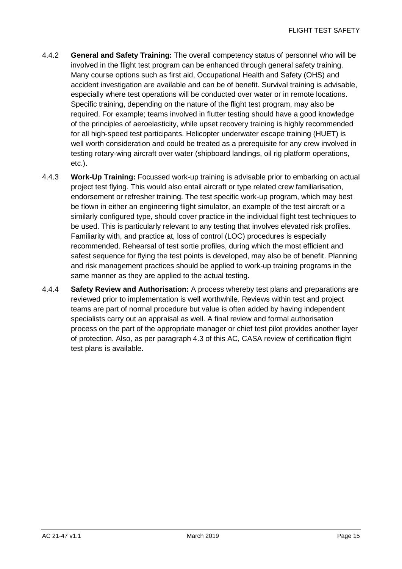- 4.4.2 **General and Safety Training:** The overall competency status of personnel who will be involved in the flight test program can be enhanced through general safety training. Many course options such as first aid, Occupational Health and Safety (OHS) and accident investigation are available and can be of benefit. Survival training is advisable, especially where test operations will be conducted over water or in remote locations. Specific training, depending on the nature of the flight test program, may also be required. For example; teams involved in flutter testing should have a good knowledge of the principles of aeroelasticity, while upset recovery training is highly recommended for all high-speed test participants. Helicopter underwater escape training (HUET) is well worth consideration and could be treated as a prerequisite for any crew involved in testing rotary-wing aircraft over water (shipboard landings, oil rig platform operations, etc.).
- 4.4.3 **Work-Up Training:** Focussed work-up training is advisable prior to embarking on actual project test flying. This would also entail aircraft or type related crew familiarisation, endorsement or refresher training. The test specific work-up program, which may best be flown in either an engineering flight simulator, an example of the test aircraft or a similarly configured type, should cover practice in the individual flight test techniques to be used. This is particularly relevant to any testing that involves elevated risk profiles. Familiarity with, and practice at, loss of control (LOC) procedures is especially recommended. Rehearsal of test sortie profiles, during which the most efficient and safest sequence for flying the test points is developed, may also be of benefit. Planning and risk management practices should be applied to work-up training programs in the same manner as they are applied to the actual testing.
- 4.4.4 **Safety Review and Authorisation:** A process whereby test plans and preparations are reviewed prior to implementation is well worthwhile. Reviews within test and project teams are part of normal procedure but value is often added by having independent specialists carry out an appraisal as well. A final review and formal authorisation process on the part of the appropriate manager or chief test pilot provides another layer of protection. Also, as per paragraph 4.3 of this AC, CASA review of certification flight test plans is available.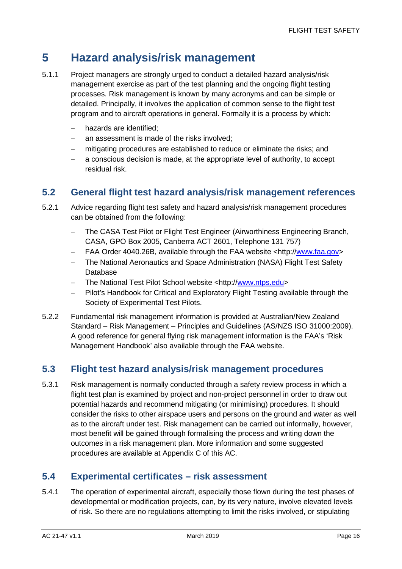## <span id="page-16-0"></span>**5 Hazard analysis/risk management**

- 5.1.1 Project managers are strongly urged to conduct a detailed hazard analysis/risk management exercise as part of the test planning and the ongoing flight testing processes. Risk management is known by many acronyms and can be simple or detailed. Principally, it involves the application of common sense to the flight test program and to aircraft operations in general. Formally it is a process by which:
	- − hazards are identified;
	- − an assessment is made of the risks involved;
	- − mitigating procedures are established to reduce or eliminate the risks; and
	- a conscious decision is made, at the appropriate level of authority, to accept residual risk.

### <span id="page-16-1"></span>**5.2 General flight test hazard analysis/risk management references**

- 5.2.1 Advice regarding flight test safety and hazard analysis/risk management procedures can be obtained from the following:
	- − The CASA Test Pilot or Flight Test Engineer (Airworthiness Engineering Branch, CASA, GPO Box 2005, Canberra ACT 2601, Telephone 131 757)
	- − FAA Order 4040.26B, available through the FAA website <http:/[/www.faa.gov>](http://www.faa.gov/)
	- − The National Aeronautics and Space Administration (NASA) Flight Test Safety Database
	- − The National Test Pilot School website <http:/[/www.ntps.edu>](http://www.ntps.edu/index.php)
	- Pilot's Handbook for Critical and Exploratory Flight Testing available through the Society of Experimental Test Pilots.
- 5.2.2 Fundamental risk management information is provided at Australian/New Zealand Standard – Risk Management – Principles and Guidelines (AS/NZS ISO 31000:2009). A good reference for general flying risk management information is the FAA's 'Risk Management Handbook' also available through the FAA website.

### <span id="page-16-2"></span>**5.3 Flight test hazard analysis/risk management procedures**

5.3.1 Risk management is normally conducted through a safety review process in which a flight test plan is examined by project and non-project personnel in order to draw out potential hazards and recommend mitigating (or minimising) procedures. It should consider the risks to other airspace users and persons on the ground and water as well as to the aircraft under test. Risk management can be carried out informally, however, most benefit will be gained through formalising the process and writing down the outcomes in a risk management plan. More information and some suggested procedures are available at Appendix C of this AC.

### <span id="page-16-3"></span>**5.4 Experimental certificates – risk assessment**

5.4.1 The operation of experimental aircraft, especially those flown during the test phases of developmental or modification projects, can, by its very nature, involve elevated levels of risk. So there are no regulations attempting to limit the risks involved, or stipulating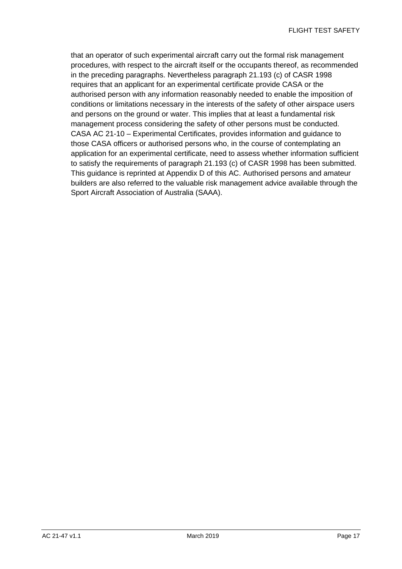that an operator of such experimental aircraft carry out the formal risk management procedures, with respect to the aircraft itself or the occupants thereof, as recommended in the preceding paragraphs. Nevertheless paragraph 21.193 (c) of CASR 1998 requires that an applicant for an experimental certificate provide CASA or the authorised person with any information reasonably needed to enable the imposition of conditions or limitations necessary in the interests of the safety of other airspace users and persons on the ground or water. This implies that at least a fundamental risk management process considering the safety of other persons must be conducted. CASA AC 21-10 – Experimental Certificates, provides information and guidance to those CASA officers or authorised persons who, in the course of contemplating an application for an experimental certificate, need to assess whether information sufficient to satisfy the requirements of paragraph 21.193 (c) of CASR 1998 has been submitted. This guidance is reprinted at Appendix D of this AC. Authorised persons and amateur builders are also referred to the valuable risk management advice available through the Sport Aircraft Association of Australia (SAAA).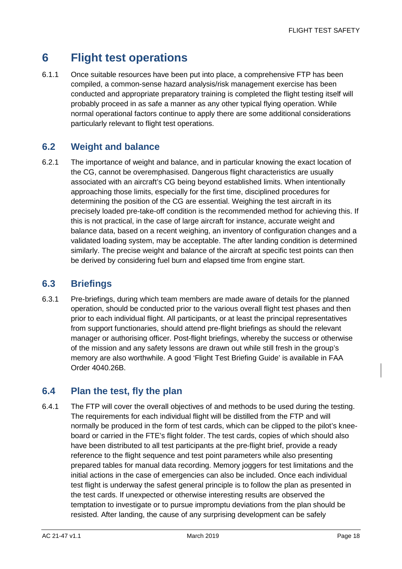## <span id="page-18-0"></span>**6 Flight test operations**

6.1.1 Once suitable resources have been put into place, a comprehensive FTP has been compiled, a common-sense hazard analysis/risk management exercise has been conducted and appropriate preparatory training is completed the flight testing itself will probably proceed in as safe a manner as any other typical flying operation. While normal operational factors continue to apply there are some additional considerations particularly relevant to flight test operations.

### <span id="page-18-1"></span>**6.2 Weight and balance**

6.2.1 The importance of weight and balance, and in particular knowing the exact location of the CG, cannot be overemphasised. Dangerous flight characteristics are usually associated with an aircraft's CG being beyond established limits. When intentionally approaching those limits, especially for the first time, disciplined procedures for determining the position of the CG are essential. Weighing the test aircraft in its precisely loaded pre-take-off condition is the recommended method for achieving this. If this is not practical, in the case of large aircraft for instance, accurate weight and balance data, based on a recent weighing, an inventory of configuration changes and a validated loading system, may be acceptable. The after landing condition is determined similarly. The precise weight and balance of the aircraft at specific test points can then be derived by considering fuel burn and elapsed time from engine start.

### <span id="page-18-2"></span>**6.3 Briefings**

6.3.1 Pre-briefings, during which team members are made aware of details for the planned operation, should be conducted prior to the various overall flight test phases and then prior to each individual flight. All participants, or at least the principal representatives from support functionaries, should attend pre-flight briefings as should the relevant manager or authorising officer. Post-flight briefings, whereby the success or otherwise of the mission and any safety lessons are drawn out while still fresh in the group's memory are also worthwhile. A good 'Flight Test Briefing Guide' is available in FAA Order 4040.26B.

### <span id="page-18-3"></span>**6.4 Plan the test, fly the plan**

6.4.1 The FTP will cover the overall objectives of and methods to be used during the testing. The requirements for each individual flight will be distilled from the FTP and will normally be produced in the form of test cards, which can be clipped to the pilot's kneeboard or carried in the FTE's flight folder. The test cards, copies of which should also have been distributed to all test participants at the pre-flight brief, provide a ready reference to the flight sequence and test point parameters while also presenting prepared tables for manual data recording. Memory joggers for test limitations and the initial actions in the case of emergencies can also be included. Once each individual test flight is underway the safest general principle is to follow the plan as presented in the test cards. If unexpected or otherwise interesting results are observed the temptation to investigate or to pursue impromptu deviations from the plan should be resisted. After landing, the cause of any surprising development can be safely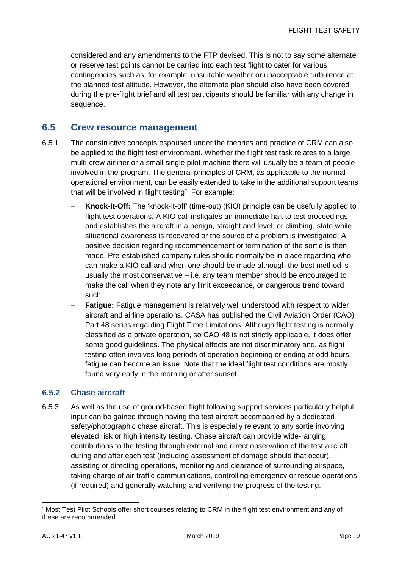considered and any amendments to the FTP devised. This is not to say some alternate or reserve test points cannot be carried into each test flight to cater for various contingencies such as, for example, unsuitable weather or unacceptable turbulence at the planned test altitude. However, the alternate plan should also have been covered during the pre-flight brief and all test participants should be familiar with any change in sequence.

#### <span id="page-19-0"></span>**6.5 Crew resource management**

- 6.5.1 The constructive concepts espoused under the theories and practice of CRM can also be applied to the flight test environment. Whether the flight test task relates to a large multi-crew airliner or a small single pilot machine there will usually be a team of people involved in the program. The general principles of CRM, as applicable to the normal operational environment, can be easily extended to take in the additional support teams that will be involved in flight testing[\\*](#page-19-1) . For example:
	- **Knock-It-Off:** The 'knock-it-off' (time-out) (KIO) principle can be usefully applied to flight test operations. A KIO call instigates an immediate halt to test proceedings and establishes the aircraft in a benign, straight and level, or climbing, state while situational awareness is recovered or the source of a problem is investigated. A positive decision regarding recommencement or termination of the sortie is then made. Pre-established company rules should normally be in place regarding who can make a KIO call and when one should be made although the best method is usually the most conservative – i.e. any team member should be encouraged to make the call when they note any limit exceedance, or dangerous trend toward such.
	- **Fatigue:** Fatigue management is relatively well understood with respect to wider aircraft and airline operations. CASA has published the Civil Aviation Order (CAO) Part 48 series regarding Flight Time Limitations. Although flight testing is normally classified as a private operation, so CAO 48 is not strictly applicable, it does offer some good guidelines. The physical effects are not discriminatory and, as flight testing often involves long periods of operation beginning or ending at odd hours, fatigue can become an issue. Note that the ideal flight test conditions are mostly found very early in the morning or after sunset.

#### **6.5.2 Chase aircraft**

6.5.3 As well as the use of ground-based flight following support services particularly helpful input can be gained through having the test aircraft accompanied by a dedicated safety/photographic chase aircraft. This is especially relevant to any sortie involving elevated risk or high intensity testing. Chase aircraft can provide wide-ranging contributions to the testing through external and direct observation of the test aircraft during and after each test (including assessment of damage should that occur), assisting or directing operations, monitoring and clearance of surrounding airspace, taking charge of air-traffic communications, controlling emergency or rescue operations (if required) and generally watching and verifying the progress of the testing.

<span id="page-19-1"></span> <sup>\*</sup> Most Test Pilot Schools offer short courses relating to CRM in the flight test environment and any of these are recommended.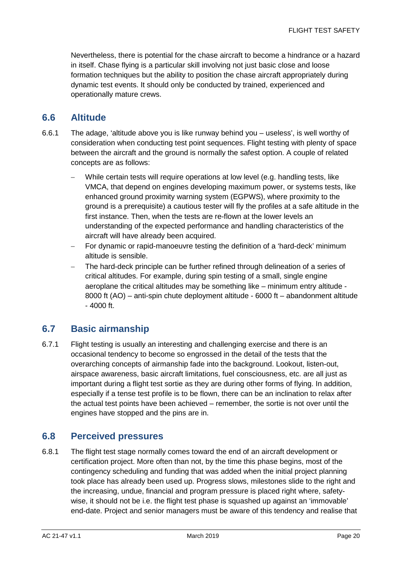Nevertheless, there is potential for the chase aircraft to become a hindrance or a hazard in itself. Chase flying is a particular skill involving not just basic close and loose formation techniques but the ability to position the chase aircraft appropriately during dynamic test events. It should only be conducted by trained, experienced and operationally mature crews.

#### <span id="page-20-0"></span>**6.6 Altitude**

- 6.6.1 The adage, 'altitude above you is like runway behind you useless', is well worthy of consideration when conducting test point sequences. Flight testing with plenty of space between the aircraft and the ground is normally the safest option. A couple of related concepts are as follows:
	- − While certain tests will require operations at low level (e.g. handling tests, like VMCA, that depend on engines developing maximum power, or systems tests, like enhanced ground proximity warning system (EGPWS), where proximity to the ground is a prerequisite) a cautious tester will fly the profiles at a safe altitude in the first instance. Then, when the tests are re-flown at the lower levels an understanding of the expected performance and handling characteristics of the aircraft will have already been acquired.
	- For dynamic or rapid-manoeuvre testing the definition of a 'hard-deck' minimum altitude is sensible.
	- The hard-deck principle can be further refined through delineation of a series of critical altitudes. For example, during spin testing of a small, single engine aeroplane the critical altitudes may be something like – minimum entry altitude - 8000 ft (AO) – anti-spin chute deployment altitude - 6000 ft – abandonment altitude - 4000 ft.

### <span id="page-20-1"></span>**6.7 Basic airmanship**

6.7.1 Flight testing is usually an interesting and challenging exercise and there is an occasional tendency to become so engrossed in the detail of the tests that the overarching concepts of airmanship fade into the background. Lookout, listen-out, airspace awareness, basic aircraft limitations, fuel consciousness, etc. are all just as important during a flight test sortie as they are during other forms of flying. In addition, especially if a tense test profile is to be flown, there can be an inclination to relax after the actual test points have been achieved – remember, the sortie is not over until the engines have stopped and the pins are in.

### <span id="page-20-2"></span>**6.8 Perceived pressures**

6.8.1 The flight test stage normally comes toward the end of an aircraft development or certification project. More often than not, by the time this phase begins, most of the contingency scheduling and funding that was added when the initial project planning took place has already been used up. Progress slows, milestones slide to the right and the increasing, undue, financial and program pressure is placed right where, safetywise, it should not be i.e. the flight test phase is squashed up against an 'immovable' end-date. Project and senior managers must be aware of this tendency and realise that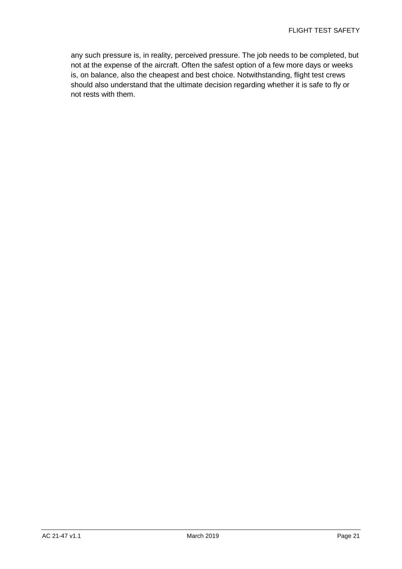any such pressure is, in reality, perceived pressure. The job needs to be completed, but not at the expense of the aircraft. Often the safest option of a few more days or weeks is, on balance, also the cheapest and best choice. Notwithstanding, flight test crews should also understand that the ultimate decision regarding whether it is safe to fly or not rests with them.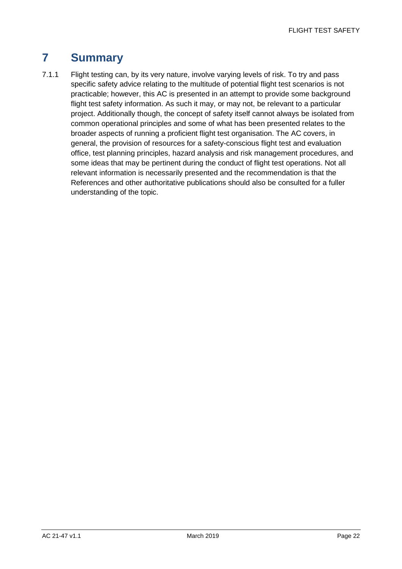## <span id="page-22-0"></span>**7 Summary**

7.1.1 Flight testing can, by its very nature, involve varying levels of risk. To try and pass specific safety advice relating to the multitude of potential flight test scenarios is not practicable; however, this AC is presented in an attempt to provide some background flight test safety information. As such it may, or may not, be relevant to a particular project. Additionally though, the concept of safety itself cannot always be isolated from common operational principles and some of what has been presented relates to the broader aspects of running a proficient flight test organisation. The AC covers, in general, the provision of resources for a safety-conscious flight test and evaluation office, test planning principles, hazard analysis and risk management procedures, and some ideas that may be pertinent during the conduct of flight test operations. Not all relevant information is necessarily presented and the recommendation is that the References and other authoritative publications should also be consulted for a fuller understanding of the topic.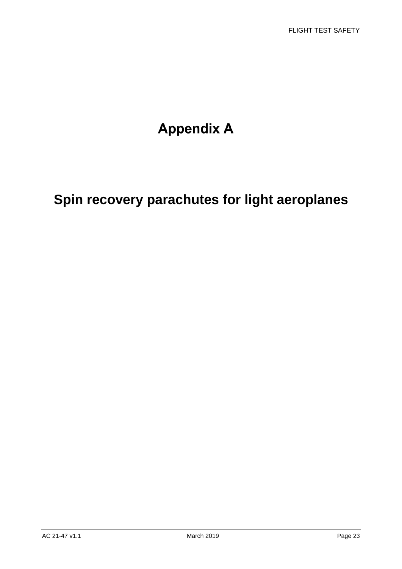# **Appendix A**

# **Spin recovery parachutes for light aeroplanes**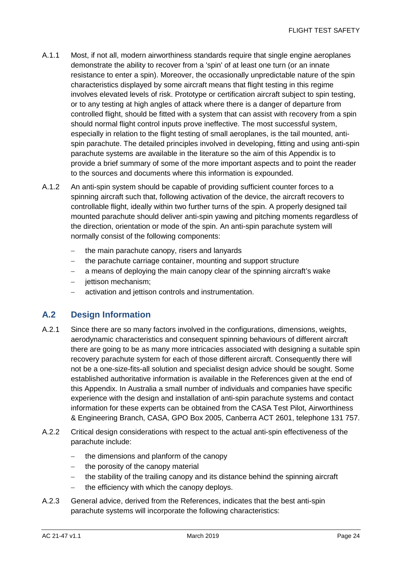- A.1.1 Most, if not all, modern airworthiness standards require that single engine aeroplanes demonstrate the ability to recover from a 'spin' of at least one turn (or an innate resistance to enter a spin). Moreover, the occasionally unpredictable nature of the spin characteristics displayed by some aircraft means that flight testing in this regime involves elevated levels of risk. Prototype or certification aircraft subject to spin testing, or to any testing at high angles of attack where there is a danger of departure from controlled flight, should be fitted with a system that can assist with recovery from a spin should normal flight control inputs prove ineffective. The most successful system, especially in relation to the flight testing of small aeroplanes, is the tail mounted, antispin parachute. The detailed principles involved in developing, fitting and using anti-spin parachute systems are available in the literature so the aim of this Appendix is to provide a brief summary of some of the more important aspects and to point the reader to the sources and documents where this information is expounded.
- A.1.2 An anti-spin system should be capable of providing sufficient counter forces to a spinning aircraft such that, following activation of the device, the aircraft recovers to controllable flight, ideally within two further turns of the spin. A properly designed tail mounted parachute should deliver anti-spin yawing and pitching moments regardless of the direction, orientation or mode of the spin. An anti-spin parachute system will normally consist of the following components:
	- the main parachute canopy, risers and lanyards
	- − the parachute carriage container, mounting and support structure
	- − a means of deploying the main canopy clear of the spinning aircraft's wake
	- − jettison mechanism;
	- − activation and jettison controls and instrumentation.

#### **A.2 Design Information**

- A.2.1 Since there are so many factors involved in the configurations, dimensions, weights, aerodynamic characteristics and consequent spinning behaviours of different aircraft there are going to be as many more intricacies associated with designing a suitable spin recovery parachute system for each of those different aircraft. Consequently there will not be a one-size-fits-all solution and specialist design advice should be sought. Some established authoritative information is available in the References given at the end of this Appendix. In Australia a small number of individuals and companies have specific experience with the design and installation of anti-spin parachute systems and contact information for these experts can be obtained from the CASA Test Pilot, Airworthiness & Engineering Branch, CASA, GPO Box 2005, Canberra ACT 2601, telephone 131 757.
- A.2.2 Critical design considerations with respect to the actual anti-spin effectiveness of the parachute include:
	- − the dimensions and planform of the canopy
	- − the porosity of the canopy material
	- the stability of the trailing canopy and its distance behind the spinning aircraft
	- − the efficiency with which the canopy deploys.
- A.2.3 General advice, derived from the References, indicates that the best anti-spin parachute systems will incorporate the following characteristics: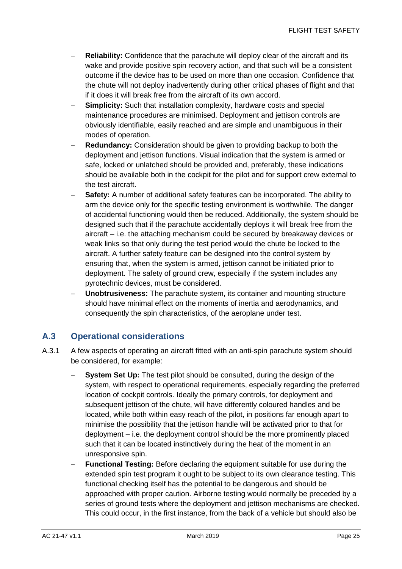- **Reliability:** Confidence that the parachute will deploy clear of the aircraft and its wake and provide positive spin recovery action, and that such will be a consistent outcome if the device has to be used on more than one occasion. Confidence that the chute will not deploy inadvertently during other critical phases of flight and that if it does it will break free from the aircraft of its own accord.
- **Simplicity:** Such that installation complexity, hardware costs and special maintenance procedures are minimised. Deployment and jettison controls are obviously identifiable, easily reached and are simple and unambiguous in their modes of operation.
- − **Redundancy:** Consideration should be given to providing backup to both the deployment and jettison functions. Visual indication that the system is armed or safe, locked or unlatched should be provided and, preferably, these indications should be available both in the cockpit for the pilot and for support crew external to the test aircraft.
- **Safety:** A number of additional safety features can be incorporated. The ability to arm the device only for the specific testing environment is worthwhile. The danger of accidental functioning would then be reduced. Additionally, the system should be designed such that if the parachute accidentally deploys it will break free from the aircraft – i.e. the attaching mechanism could be secured by breakaway devices or weak links so that only during the test period would the chute be locked to the aircraft. A further safety feature can be designed into the control system by ensuring that, when the system is armed, jettison cannot be initiated prior to deployment. The safety of ground crew, especially if the system includes any pyrotechnic devices, must be considered.
- − **Unobtrusiveness:** The parachute system, its container and mounting structure should have minimal effect on the moments of inertia and aerodynamics, and consequently the spin characteristics, of the aeroplane under test.

#### **A.3 Operational considerations**

- A.3.1 A few aspects of operating an aircraft fitted with an anti-spin parachute system should be considered, for example:
	- **System Set Up:** The test pilot should be consulted, during the design of the system, with respect to operational requirements, especially regarding the preferred location of cockpit controls. Ideally the primary controls, for deployment and subsequent jettison of the chute, will have differently coloured handles and be located, while both within easy reach of the pilot, in positions far enough apart to minimise the possibility that the jettison handle will be activated prior to that for deployment – i.e. the deployment control should be the more prominently placed such that it can be located instinctively during the heat of the moment in an unresponsive spin.
	- **Functional Testing:** Before declaring the equipment suitable for use during the extended spin test program it ought to be subject to its own clearance testing. This functional checking itself has the potential to be dangerous and should be approached with proper caution. Airborne testing would normally be preceded by a series of ground tests where the deployment and jettison mechanisms are checked. This could occur, in the first instance, from the back of a vehicle but should also be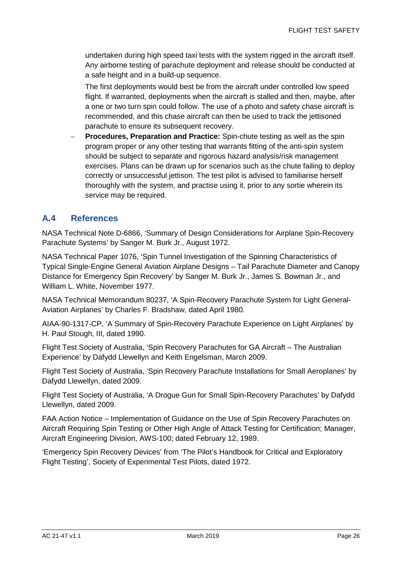undertaken during high speed taxi tests with the system rigged in the aircraft itself. Any airborne testing of parachute deployment and release should be conducted at a safe height and in a build-up sequence.

The first deployments would best be from the aircraft under controlled low speed flight. If warranted, deployments when the aircraft is stalled and then, maybe, after a one or two turn spin could follow. The use of a photo and safety chase aircraft is recommended, and this chase aircraft can then be used to track the jettisoned parachute to ensure its subsequent recovery.

**Procedures, Preparation and Practice:** Spin-chute testing as well as the spin program proper or any other testing that warrants fitting of the anti-spin system should be subject to separate and rigorous hazard analysis/risk management exercises. Plans can be drawn up for scenarios such as the chute failing to deploy correctly or unsuccessful jettison. The test pilot is advised to familiarise herself thoroughly with the system, and practise using it, prior to any sortie wherein its service may be required.

#### **A.4 References**

NASA Technical Note D-6866, 'Summary of Design Considerations for Airplane Spin-Recovery Parachute Systems' by Sanger M. Burk Jr., August 1972.

NASA Technical Paper 1076, 'Spin Tunnel Investigation of the Spinning Characteristics of Typical Single-Engine General Aviation Airplane Designs – Tail Parachute Diameter and Canopy Distance for Emergency Spin Recovery' by Sanger M. Burk Jr., James S. Bowman Jr., and William L. White, November 1977.

NASA Technical Memorandum 80237, 'A Spin-Recovery Parachute System for Light General-Aviation Airplanes' by Charles F. Bradshaw, dated April 1980.

AIAA-90-1317-CP, 'A Summary of Spin-Recovery Parachute Experience on Light Airplanes' by H. Paul Stough, III, dated 1990.

Flight Test Society of Australia, 'Spin Recovery Parachutes for GA Aircraft – The Australian Experience' by Dafydd Llewellyn and Keith Engelsman, March 2009.

Flight Test Society of Australia, 'Spin Recovery Parachute Installations for Small Aeroplanes' by Dafydd Llewellyn, dated 2009.

Flight Test Society of Australia, 'A Drogue Gun for Small Spin-Recovery Parachutes' by Dafydd Llewellyn, dated 2009.

FAA Action Notice – Implementation of Guidance on the Use of Spin Recovery Parachutes on Aircraft Requiring Spin Testing or Other High Angle of Attack Testing for Certification; Manager, Aircraft Engineering Division, AWS-100; dated February 12, 1989.

'Emergency Spin Recovery Devices' from 'The Pilot's Handbook for Critical and Exploratory Flight Testing', Society of Experimental Test Pilots, dated 1972.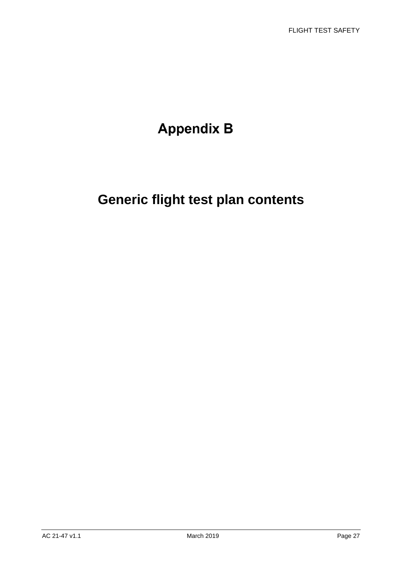# **Appendix B**

# **Generic flight test plan contents**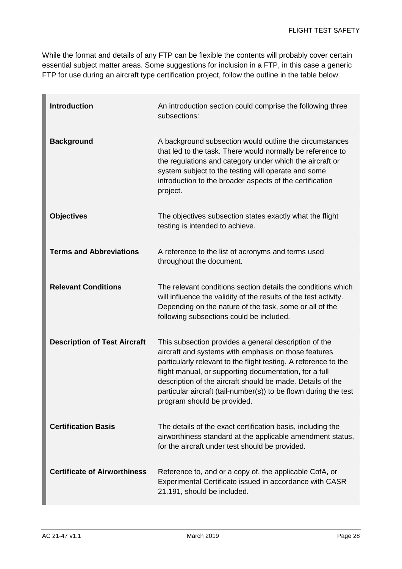While the format and details of any FTP can be flexible the contents will probably cover certain essential subject matter areas. Some suggestions for inclusion in a FTP, in this case a generic FTP for use during an aircraft type certification project, follow the outline in the table below.

| <b>Introduction</b>                 | An introduction section could comprise the following three<br>subsections:                                                                                                                                                                                                                                                                                                                                  |
|-------------------------------------|-------------------------------------------------------------------------------------------------------------------------------------------------------------------------------------------------------------------------------------------------------------------------------------------------------------------------------------------------------------------------------------------------------------|
| <b>Background</b>                   | A background subsection would outline the circumstances<br>that led to the task. There would normally be reference to<br>the regulations and category under which the aircraft or<br>system subject to the testing will operate and some<br>introduction to the broader aspects of the certification<br>project.                                                                                            |
| <b>Objectives</b>                   | The objectives subsection states exactly what the flight<br>testing is intended to achieve.                                                                                                                                                                                                                                                                                                                 |
| <b>Terms and Abbreviations</b>      | A reference to the list of acronyms and terms used<br>throughout the document.                                                                                                                                                                                                                                                                                                                              |
| <b>Relevant Conditions</b>          | The relevant conditions section details the conditions which<br>will influence the validity of the results of the test activity.<br>Depending on the nature of the task, some or all of the<br>following subsections could be included.                                                                                                                                                                     |
| <b>Description of Test Aircraft</b> | This subsection provides a general description of the<br>aircraft and systems with emphasis on those features<br>particularly relevant to the flight testing. A reference to the<br>flight manual, or supporting documentation, for a full<br>description of the aircraft should be made. Details of the<br>particular aircraft (tail-number(s)) to be flown during the test<br>program should be provided. |
| <b>Certification Basis</b>          | The details of the exact certification basis, including the<br>airworthiness standard at the applicable amendment status,<br>for the aircraft under test should be provided.                                                                                                                                                                                                                                |
| <b>Certificate of Airworthiness</b> | Reference to, and or a copy of, the applicable CofA, or<br>Experimental Certificate issued in accordance with CASR<br>21.191, should be included.                                                                                                                                                                                                                                                           |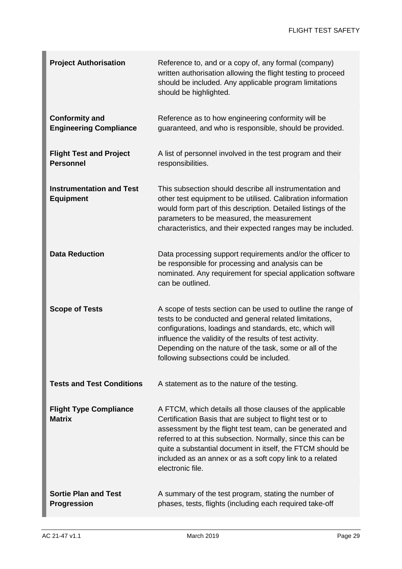| <b>Project Authorisation</b>                           | Reference to, and or a copy of, any formal (company)<br>written authorisation allowing the flight testing to proceed<br>should be included. Any applicable program limitations<br>should be highlighted.                                                                                                                                                                                        |
|--------------------------------------------------------|-------------------------------------------------------------------------------------------------------------------------------------------------------------------------------------------------------------------------------------------------------------------------------------------------------------------------------------------------------------------------------------------------|
| <b>Conformity and</b><br><b>Engineering Compliance</b> | Reference as to how engineering conformity will be<br>guaranteed, and who is responsible, should be provided.                                                                                                                                                                                                                                                                                   |
| <b>Flight Test and Project</b><br><b>Personnel</b>     | A list of personnel involved in the test program and their<br>responsibilities.                                                                                                                                                                                                                                                                                                                 |
| <b>Instrumentation and Test</b><br><b>Equipment</b>    | This subsection should describe all instrumentation and<br>other test equipment to be utilised. Calibration information<br>would form part of this description. Detailed listings of the<br>parameters to be measured, the measurement<br>characteristics, and their expected ranges may be included.                                                                                           |
| <b>Data Reduction</b>                                  | Data processing support requirements and/or the officer to<br>be responsible for processing and analysis can be<br>nominated. Any requirement for special application software<br>can be outlined.                                                                                                                                                                                              |
| <b>Scope of Tests</b>                                  | A scope of tests section can be used to outline the range of<br>tests to be conducted and general related limitations,<br>configurations, loadings and standards, etc, which will<br>influence the validity of the results of test activity.<br>Depending on the nature of the task, some or all of the<br>following subsections could be included.                                             |
| <b>Tests and Test Conditions</b>                       | A statement as to the nature of the testing.                                                                                                                                                                                                                                                                                                                                                    |
| <b>Flight Type Compliance</b><br><b>Matrix</b>         | A FTCM, which details all those clauses of the applicable<br>Certification Basis that are subject to flight test or to<br>assessment by the flight test team, can be generated and<br>referred to at this subsection. Normally, since this can be<br>quite a substantial document in itself, the FTCM should be<br>included as an annex or as a soft copy link to a related<br>electronic file. |
| <b>Sortie Plan and Test</b><br><b>Progression</b>      | A summary of the test program, stating the number of<br>phases, tests, flights (including each required take-off                                                                                                                                                                                                                                                                                |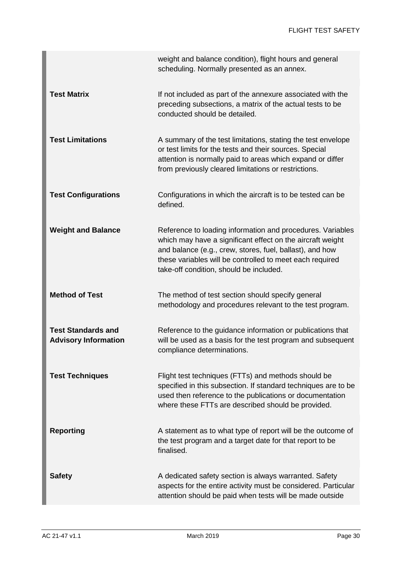|                                                          | weight and balance condition), flight hours and general<br>scheduling. Normally presented as an annex.                                                                                                                                                                                      |
|----------------------------------------------------------|---------------------------------------------------------------------------------------------------------------------------------------------------------------------------------------------------------------------------------------------------------------------------------------------|
| <b>Test Matrix</b>                                       | If not included as part of the annexure associated with the<br>preceding subsections, a matrix of the actual tests to be<br>conducted should be detailed.                                                                                                                                   |
| <b>Test Limitations</b>                                  | A summary of the test limitations, stating the test envelope<br>or test limits for the tests and their sources. Special<br>attention is normally paid to areas which expand or differ<br>from previously cleared limitations or restrictions.                                               |
| <b>Test Configurations</b>                               | Configurations in which the aircraft is to be tested can be<br>defined.                                                                                                                                                                                                                     |
| <b>Weight and Balance</b>                                | Reference to loading information and procedures. Variables<br>which may have a significant effect on the aircraft weight<br>and balance (e.g., crew, stores, fuel, ballast), and how<br>these variables will be controlled to meet each required<br>take-off condition, should be included. |
| <b>Method of Test</b>                                    | The method of test section should specify general<br>methodology and procedures relevant to the test program.                                                                                                                                                                               |
| <b>Test Standards and</b><br><b>Advisory Information</b> | Reference to the guidance information or publications that<br>will be used as a basis for the test program and subsequent<br>compliance determinations.                                                                                                                                     |
| <b>Test Techniques</b>                                   | Flight test techniques (FTTs) and methods should be<br>specified in this subsection. If standard techniques are to be<br>used then reference to the publications or documentation<br>where these FTTs are described should be provided.                                                     |
| <b>Reporting</b>                                         | A statement as to what type of report will be the outcome of<br>the test program and a target date for that report to be<br>finalised.                                                                                                                                                      |
| <b>Safety</b>                                            | A dedicated safety section is always warranted. Safety<br>aspects for the entire activity must be considered. Particular<br>attention should be paid when tests will be made outside                                                                                                        |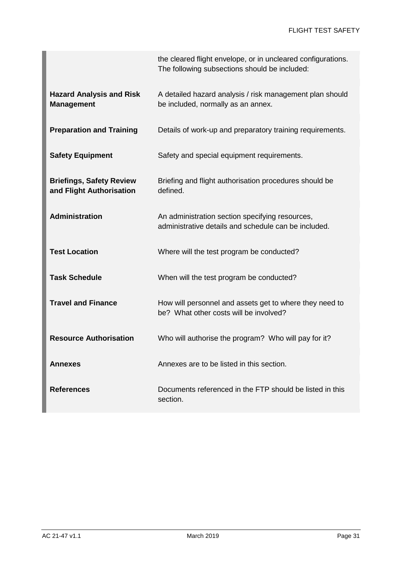|                                                             | the cleared flight envelope, or in uncleared configurations.<br>The following subsections should be included: |
|-------------------------------------------------------------|---------------------------------------------------------------------------------------------------------------|
| <b>Hazard Analysis and Risk</b><br><b>Management</b>        | A detailed hazard analysis / risk management plan should<br>be included, normally as an annex.                |
| <b>Preparation and Training</b>                             | Details of work-up and preparatory training requirements.                                                     |
| <b>Safety Equipment</b>                                     | Safety and special equipment requirements.                                                                    |
| <b>Briefings, Safety Review</b><br>and Flight Authorisation | Briefing and flight authorisation procedures should be<br>defined.                                            |
| <b>Administration</b>                                       | An administration section specifying resources,<br>administrative details and schedule can be included.       |
| <b>Test Location</b>                                        | Where will the test program be conducted?                                                                     |
| <b>Task Schedule</b>                                        | When will the test program be conducted?                                                                      |
| <b>Travel and Finance</b>                                   | How will personnel and assets get to where they need to<br>be? What other costs will be involved?             |
| <b>Resource Authorisation</b>                               | Who will authorise the program? Who will pay for it?                                                          |
| Annexes                                                     | Annexes are to be listed in this section.                                                                     |
| <b>References</b>                                           | Documents referenced in the FTP should be listed in this<br>section.                                          |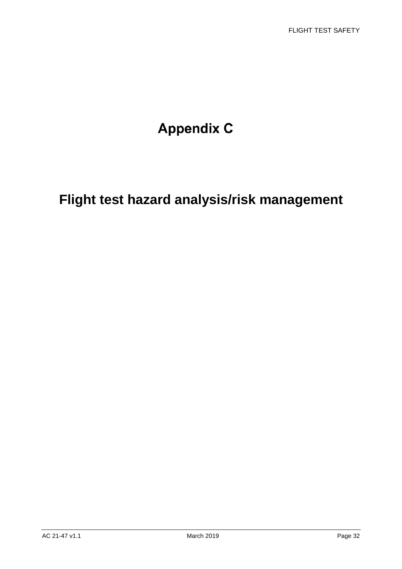# **Appendix C**

# **Flight test hazard analysis/risk management**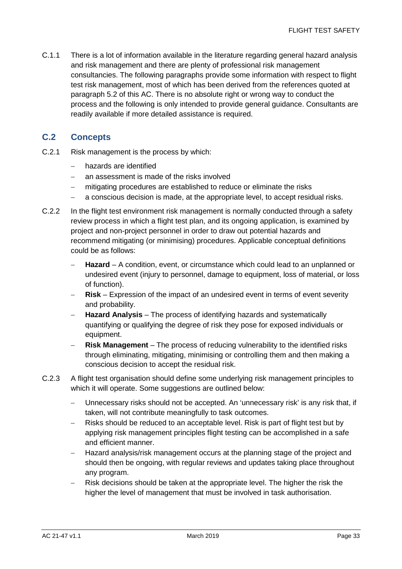C.1.1 There is a lot of information available in the literature regarding general hazard analysis and risk management and there are plenty of professional risk management consultancies. The following paragraphs provide some information with respect to flight test risk management, most of which has been derived from the references quoted at paragraph 5.2 of this AC. There is no absolute right or wrong way to conduct the process and the following is only intended to provide general guidance. Consultants are readily available if more detailed assistance is required.

#### **C.2 Concepts**

- C.2.1 Risk management is the process by which:
	- hazards are identified
	- − an assessment is made of the risks involved
	- − mitigating procedures are established to reduce or eliminate the risks
	- a conscious decision is made, at the appropriate level, to accept residual risks.
- C.2.2 In the flight test environment risk management is normally conducted through a safety review process in which a flight test plan, and its ongoing application, is examined by project and non-project personnel in order to draw out potential hazards and recommend mitigating (or minimising) procedures. Applicable conceptual definitions could be as follows:
	- − **Hazard** A condition, event, or circumstance which could lead to an unplanned or undesired event (injury to personnel, damage to equipment, loss of material, or loss of function).
	- − **Risk** Expression of the impact of an undesired event in terms of event severity and probability.
	- − **Hazard Analysis** The process of identifying hazards and systematically quantifying or qualifying the degree of risk they pose for exposed individuals or equipment.
	- − **Risk Management** The process of reducing vulnerability to the identified risks through eliminating, mitigating, minimising or controlling them and then making a conscious decision to accept the residual risk.
- C.2.3 A flight test organisation should define some underlying risk management principles to which it will operate. Some suggestions are outlined below:
	- − Unnecessary risks should not be accepted. An 'unnecessary risk' is any risk that, if taken, will not contribute meaningfully to task outcomes.
	- − Risks should be reduced to an acceptable level. Risk is part of flight test but by applying risk management principles flight testing can be accomplished in a safe and efficient manner.
	- − Hazard analysis/risk management occurs at the planning stage of the project and should then be ongoing, with regular reviews and updates taking place throughout any program.
	- − Risk decisions should be taken at the appropriate level. The higher the risk the higher the level of management that must be involved in task authorisation.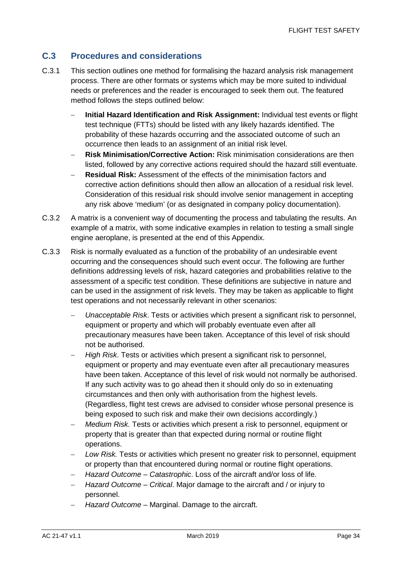#### **C.3 Procedures and considerations**

- C.3.1 This section outlines one method for formalising the hazard analysis risk management process. There are other formats or systems which may be more suited to individual needs or preferences and the reader is encouraged to seek them out. The featured method follows the steps outlined below:
	- − **Initial Hazard Identification and Risk Assignment:** Individual test events or flight test technique (FTTs) should be listed with any likely hazards identified. The probability of these hazards occurring and the associated outcome of such an occurrence then leads to an assignment of an initial risk level.
	- − **Risk Minimisation/Corrective Action:** Risk minimisation considerations are then listed, followed by any corrective actions required should the hazard still eventuate.
	- **Residual Risk:** Assessment of the effects of the minimisation factors and corrective action definitions should then allow an allocation of a residual risk level. Consideration of this residual risk should involve senior management in accepting any risk above 'medium' (or as designated in company policy documentation).
- C.3.2 A matrix is a convenient way of documenting the process and tabulating the results. An example of a matrix, with some indicative examples in relation to testing a small single engine aeroplane, is presented at the end of this Appendix.
- C.3.3 Risk is normally evaluated as a function of the probability of an undesirable event occurring and the consequences should such event occur. The following are further definitions addressing levels of risk, hazard categories and probabilities relative to the assessment of a specific test condition. These definitions are subjective in nature and can be used in the assignment of risk levels. They may be taken as applicable to flight test operations and not necessarily relevant in other scenarios:
	- − *Unacceptable Risk*. Tests or activities which present a significant risk to personnel, equipment or property and which will probably eventuate even after all precautionary measures have been taken. Acceptance of this level of risk should not be authorised.
	- − *High Risk*. Tests or activities which present a significant risk to personnel, equipment or property and may eventuate even after all precautionary measures have been taken. Acceptance of this level of risk would not normally be authorised. If any such activity was to go ahead then it should only do so in extenuating circumstances and then only with authorisation from the highest levels. (Regardless, flight test crews are advised to consider whose personal presence is being exposed to such risk and make their own decisions accordingly.)
	- *Medium Risk.* Tests or activities which present a risk to personnel, equipment or property that is greater than that expected during normal or routine flight operations.
	- Low Risk. Tests or activities which present no greater risk to personnel, equipment or property than that encountered during normal or routine flight operations.
	- − *Hazard Outcome – Catastrophic*. Loss of the aircraft and/or loss of life.
	- − *Hazard Outcome – Critical*. Major damage to the aircraft and / or injury to personnel.
	- − *Hazard Outcome* Marginal. Damage to the aircraft.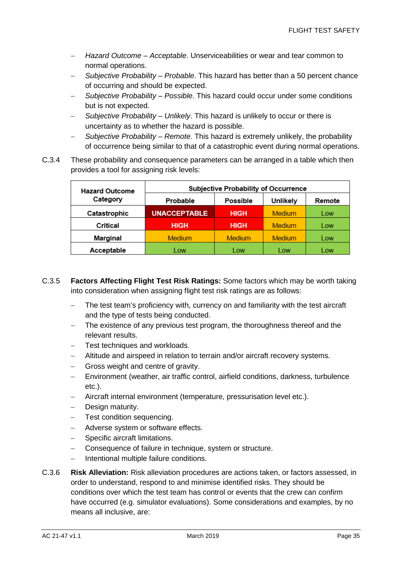- − *Hazard Outcome – Acceptable*. Unserviceabilities or wear and tear common to normal operations.
- − *Subjective Probability – Probable*. This hazard has better than a 50 percent chance of occurring and should be expected.
- − *Subjective Probability – Possible*. This hazard could occur under some conditions but is not expected.
- − *Subjective Probability – Unlikely*. This hazard is unlikely to occur or there is uncertainty as to whether the hazard is possible.
- − *Subjective Probability – Remote*. This hazard is extremely unlikely, the probability of occurrence being similar to that of a catastrophic event during normal operations.
- C.3.4 These probability and consequence parameters can be arranged in a table which then provides a tool for assigning risk levels:

| <b>Hazard Outcome</b> | <b>Subjective Probability of Occurrence</b> |               |          |        |  |  |
|-----------------------|---------------------------------------------|---------------|----------|--------|--|--|
| Category              | Probable                                    | Possible      | Unlikely | Remote |  |  |
| Catastrophic          | <b>UNACCEPTABLE</b>                         | <b>HIGH</b>   | Medium   | Low    |  |  |
| Critical              | <b>HIGH</b>                                 | <b>HIGH</b>   | Medium   | Low    |  |  |
| Marginal              | <b>Medium</b>                               | <b>Medium</b> | Medium   | Low    |  |  |
| Acceptable            | Low                                         | Low           | Low      | Low    |  |  |

- C.3.5 **Factors Affecting Flight Test Risk Ratings:** Some factors which may be worth taking into consideration when assigning flight test risk ratings are as follows:
	- − The test team's proficiency with, currency on and familiarity with the test aircraft and the type of tests being conducted.
	- − The existence of any previous test program, the thoroughness thereof and the relevant results.
	- Test techniques and workloads.
	- − Altitude and airspeed in relation to terrain and/or aircraft recovery systems.
	- − Gross weight and centre of gravity.
	- − Environment (weather, air traffic control, airfield conditions, darkness, turbulence etc.).
	- − Aircraft internal environment (temperature, pressurisation level etc.).
	- − Design maturity.
	- Test condition sequencing.
	- − Adverse system or software effects.
	- − Specific aircraft limitations.
	- − Consequence of failure in technique, system or structure.
	- − Intentional multiple failure conditions.
- C.3.6 **Risk Alleviation:** Risk alleviation procedures are actions taken, or factors assessed, in order to understand, respond to and minimise identified risks. They should be conditions over which the test team has control or events that the crew can confirm have occurred (e.g. simulator evaluations). Some considerations and examples, by no means all inclusive, are: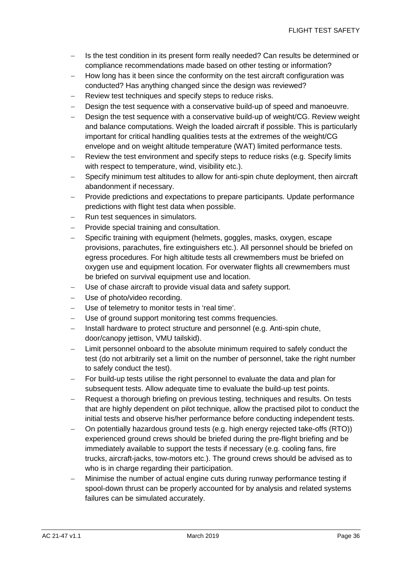- − Is the test condition in its present form really needed? Can results be determined or compliance recommendations made based on other testing or information?
- How long has it been since the conformity on the test aircraft configuration was conducted? Has anything changed since the design was reviewed?
- − Review test techniques and specify steps to reduce risks.
- Design the test sequence with a conservative build-up of speed and manoeuvre.
- − Design the test sequence with a conservative build-up of weight/CG. Review weight and balance computations. Weigh the loaded aircraft if possible. This is particularly important for critical handling qualities tests at the extremes of the weight/CG envelope and on weight altitude temperature (WAT) limited performance tests.
- − Review the test environment and specify steps to reduce risks (e.g. Specify limits with respect to temperature, wind, visibility etc.).
- − Specify minimum test altitudes to allow for anti-spin chute deployment, then aircraft abandonment if necessary.
- − Provide predictions and expectations to prepare participants. Update performance predictions with flight test data when possible.
- − Run test sequences in simulators.
- − Provide special training and consultation.
- Specific training with equipment (helmets, goggles, masks, oxygen, escape provisions, parachutes, fire extinguishers etc.). All personnel should be briefed on egress procedures. For high altitude tests all crewmembers must be briefed on oxygen use and equipment location. For overwater flights all crewmembers must be briefed on survival equipment use and location.
- − Use of chase aircraft to provide visual data and safety support.
- − Use of photo/video recording.
- − Use of telemetry to monitor tests in 'real time'.
- Use of ground support monitoring test comms frequencies.
- − Install hardware to protect structure and personnel (e.g. Anti-spin chute, door/canopy jettison, VMU tailskid).
- Limit personnel onboard to the absolute minimum required to safely conduct the test (do not arbitrarily set a limit on the number of personnel, take the right number to safely conduct the test).
- − For build-up tests utilise the right personnel to evaluate the data and plan for subsequent tests. Allow adequate time to evaluate the build-up test points.
- − Request a thorough briefing on previous testing, techniques and results. On tests that are highly dependent on pilot technique, allow the practised pilot to conduct the initial tests and observe his/her performance before conducting independent tests.
- − On potentially hazardous ground tests (e.g. high energy rejected take-offs (RTO)) experienced ground crews should be briefed during the pre-flight briefing and be immediately available to support the tests if necessary (e.g. cooling fans, fire trucks, aircraft-jacks, tow-motors etc.). The ground crews should be advised as to who is in charge regarding their participation.
- Minimise the number of actual engine cuts during runway performance testing if spool-down thrust can be properly accounted for by analysis and related systems failures can be simulated accurately.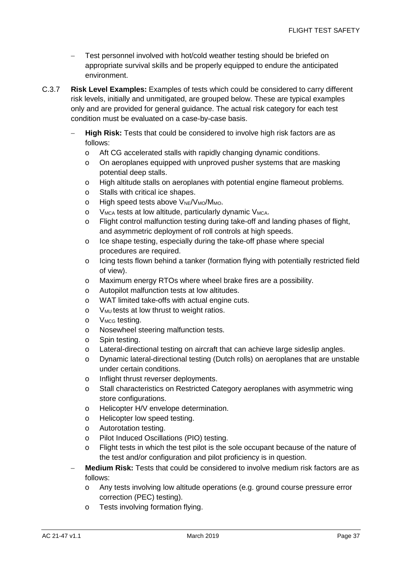- − Test personnel involved with hot/cold weather testing should be briefed on appropriate survival skills and be properly equipped to endure the anticipated environment.
- C.3.7 **Risk Level Examples:** Examples of tests which could be considered to carry different risk levels, initially and unmitigated, are grouped below. These are typical examples only and are provided for general guidance. The actual risk category for each test condition must be evaluated on a case-by-case basis.
	- **High Risk:** Tests that could be considered to involve high risk factors are as follows:
		- o Aft CG accelerated stalls with rapidly changing dynamic conditions.
		- o On aeroplanes equipped with unproved pusher systems that are masking potential deep stalls.
		- o High altitude stalls on aeroplanes with potential engine flameout problems.
		- o Stalls with critical ice shapes.
		- o High speed tests above  $V_{\text{NE}}/V_{\text{MO}}/M_{\text{MO}}$ .
		- o  $V_{MCA}$  tests at low altitude, particularly dynamic  $V_{MCA}$ .
		- o Flight control malfunction testing during take-off and landing phases of flight, and asymmetric deployment of roll controls at high speeds.
		- o Ice shape testing, especially during the take-off phase where special procedures are required.
		- o Icing tests flown behind a tanker (formation flying with potentially restricted field of view).
		- o Maximum energy RTOs where wheel brake fires are a possibility.
		- o Autopilot malfunction tests at low altitudes.
		- o WAT limited take-offs with actual engine cuts.
		- o  $V_{MU}$  tests at low thrust to weight ratios.
		- o V<sub>MCG</sub> testing.
		- o Nosewheel steering malfunction tests.
		- o Spin testing.
		- o Lateral-directional testing on aircraft that can achieve large sideslip angles.
		- o Dynamic lateral-directional testing (Dutch rolls) on aeroplanes that are unstable under certain conditions.
		- o Inflight thrust reverser deployments.
		- o Stall characteristics on Restricted Category aeroplanes with asymmetric wing store configurations.
		- o Helicopter H/V envelope determination.
		- o Helicopter low speed testing.
		- o Autorotation testing.
		- o Pilot Induced Oscillations (PIO) testing.
		- o Flight tests in which the test pilot is the sole occupant because of the nature of the test and/or configuration and pilot proficiency is in question.
	- − **Medium Risk:** Tests that could be considered to involve medium risk factors are as follows:
		- o Any tests involving low altitude operations (e.g. ground course pressure error correction (PEC) testing).
		- o Tests involving formation flying.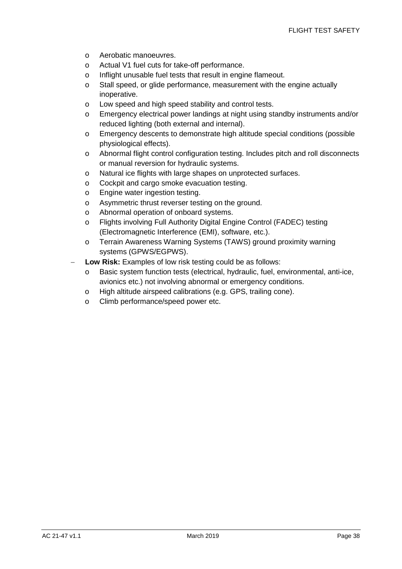- o Aerobatic manoeuvres.
- o Actual V1 fuel cuts for take-off performance.
- o Inflight unusable fuel tests that result in engine flameout.
- o Stall speed, or glide performance, measurement with the engine actually inoperative.
- o Low speed and high speed stability and control tests.
- o Emergency electrical power landings at night using standby instruments and/or reduced lighting (both external and internal).
- o Emergency descents to demonstrate high altitude special conditions (possible physiological effects).
- o Abnormal flight control configuration testing. Includes pitch and roll disconnects or manual reversion for hydraulic systems.
- o Natural ice flights with large shapes on unprotected surfaces.
- o Cockpit and cargo smoke evacuation testing.
- o Engine water ingestion testing.
- o Asymmetric thrust reverser testing on the ground.
- o Abnormal operation of onboard systems.
- o Flights involving Full Authority Digital Engine Control (FADEC) testing (Electromagnetic Interference (EMI), software, etc.).
- o Terrain Awareness Warning Systems (TAWS) ground proximity warning systems (GPWS/EGPWS).
- **Low Risk:** Examples of low risk testing could be as follows:
	- o Basic system function tests (electrical, hydraulic, fuel, environmental, anti-ice, avionics etc.) not involving abnormal or emergency conditions.
	- o High altitude airspeed calibrations (e.g. GPS, trailing cone).
	- o Climb performance/speed power etc.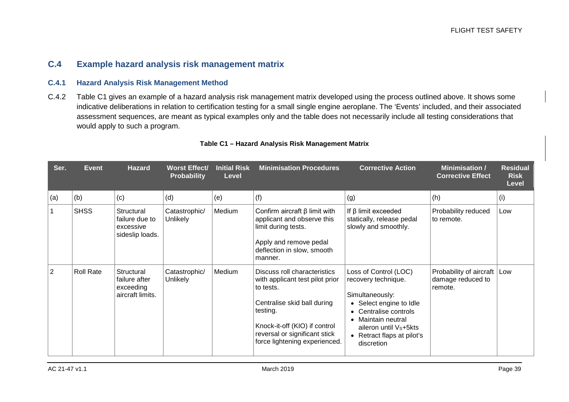#### **C.4 Example hazard analysis risk management matrix**

#### **C.4.1 Hazard Analysis Risk Management Method**

C.4.2 Table C1 gives an example of a hazard analysis risk management matrix developed using the process outlined above. It shows some indicative deliberations in relation to certification testing for a small single engine aeroplane. The 'Events' included, and their associated assessment sequences, are meant as typical examples only and the table does not necessarily include all testing considerations that would apply to such a program.

| Ser. | <b>Event</b>     | <b>Hazard</b>                                                | <b>Worst Effect/</b><br><b>Probability</b> | <b>Initial Risk</b><br><b>Level</b> | <b>Minimisation Procedures</b>                                                                                                                                                                                             | <b>Corrective Action</b>                                                                                                                                                                                       | <b>Minimisation /</b><br><b>Corrective Effect</b>       | <b>Residual</b><br><b>Risk</b><br>Level |
|------|------------------|--------------------------------------------------------------|--------------------------------------------|-------------------------------------|----------------------------------------------------------------------------------------------------------------------------------------------------------------------------------------------------------------------------|----------------------------------------------------------------------------------------------------------------------------------------------------------------------------------------------------------------|---------------------------------------------------------|-----------------------------------------|
| (a)  | (b)              | (c)                                                          | (d)                                        | (e)                                 | (f)                                                                                                                                                                                                                        | (g)                                                                                                                                                                                                            | (h)                                                     | (i)                                     |
|      | <b>SHSS</b>      | Structural<br>failure due to<br>excessive<br>sideslip loads. | Catastrophic/<br><b>Unlikely</b>           | Medium                              | Confirm aircraft $\beta$ limit with<br>applicant and observe this<br>limit during tests.<br>Apply and remove pedal<br>deflection in slow, smooth<br>manner.                                                                | If $\beta$ limit exceeded<br>statically, release pedal<br>slowly and smoothly.                                                                                                                                 | Probability reduced<br>to remote.                       | Low                                     |
| 2    | <b>Roll Rate</b> | Structural<br>failure after<br>exceeding<br>aircraft limits. | Catastrophic/<br><b>Unlikely</b>           | Medium                              | Discuss roll characteristics<br>with applicant test pilot prior<br>to tests.<br>Centralise skid ball during<br>testing.<br>Knock-it-off (KIO) if control<br>reversal or significant stick<br>force lightening experienced. | Loss of Control (LOC)<br>recovery technique.<br>Simultaneously:<br>• Select engine to Idle<br>• Centralise controls<br>• Maintain neutral<br>aileron until Vs+5kts<br>• Retract flaps at pilot's<br>discretion | Probability of aircraft<br>damage reduced to<br>remote. | Low                                     |

#### **Table C1 – Hazard Analysis Risk Management Matrix**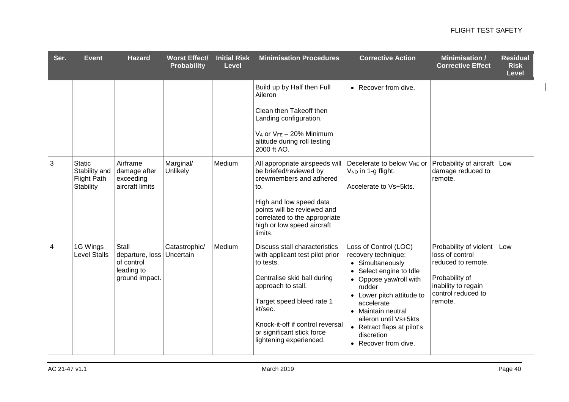| Ser.           | <b>Event</b>                                                             | <b>Hazard</b>                                                          | <b>Worst Effect/</b><br><b>Probability</b> | <b>Initial Risk</b><br><b>Level</b> | <b>Minimisation Procedures</b>                                                                                                                                                                                                                                                 | <b>Corrective Action</b>                                                                                                                                                                                                                                                                      | <b>Minimisation /</b><br><b>Corrective Effect</b>                                                                                         | <b>Residual</b><br><b>Risk</b><br><b>Level</b> |
|----------------|--------------------------------------------------------------------------|------------------------------------------------------------------------|--------------------------------------------|-------------------------------------|--------------------------------------------------------------------------------------------------------------------------------------------------------------------------------------------------------------------------------------------------------------------------------|-----------------------------------------------------------------------------------------------------------------------------------------------------------------------------------------------------------------------------------------------------------------------------------------------|-------------------------------------------------------------------------------------------------------------------------------------------|------------------------------------------------|
|                |                                                                          |                                                                        |                                            |                                     | Build up by Half then Full<br>Aileron<br>Clean then Takeoff then<br>Landing configuration.<br>$V_A$ or $V_{FE}$ – 20% Minimum                                                                                                                                                  | • Recover from dive.                                                                                                                                                                                                                                                                          |                                                                                                                                           |                                                |
|                |                                                                          |                                                                        |                                            |                                     | altitude during roll testing<br>2000 ft AO.                                                                                                                                                                                                                                    |                                                                                                                                                                                                                                                                                               |                                                                                                                                           |                                                |
| 3              | <b>Static</b><br>Stability and<br><b>Flight Path</b><br><b>Stability</b> | Airframe<br>damage after<br>exceeding<br>aircraft limits               | Marginal/<br>Unlikely                      | Medium                              | All appropriate airspeeds will<br>be briefed/reviewed by<br>crewmembers and adhered<br>to.<br>High and low speed data<br>points will be reviewed and<br>correlated to the appropriate<br>high or low speed aircraft<br>limits.                                                 | Decelerate to below V <sub>NE</sub> or<br>V <sub>NO</sub> in 1-g flight.<br>Accelerate to Vs+5kts.                                                                                                                                                                                            | Probability of aircraft   Low<br>damage reduced to<br>remote.                                                                             |                                                |
| $\overline{4}$ | 1G Wings<br><b>Level Stalls</b>                                          | Stall<br>departure, loss<br>of control<br>leading to<br>ground impact. | Catastrophic/<br>Uncertain                 | Medium                              | <b>Discuss stall characteristics</b><br>with applicant test pilot prior<br>to tests.<br>Centralise skid ball during<br>approach to stall.<br>Target speed bleed rate 1<br>kt/sec.<br>Knock-it-off if control reversal<br>or significant stick force<br>lightening experienced. | Loss of Control (LOC)<br>recovery technique:<br>• Simultaneously<br>• Select engine to Idle<br>• Oppose yaw/roll with<br>rudder<br>• Lower pitch attitude to<br>accelerate<br>• Maintain neutral<br>aileron until Vs+5kts<br>• Retract flaps at pilot's<br>discretion<br>• Recover from dive. | Probability of violent<br>loss of control<br>reduced to remote.<br>Probability of<br>inability to regain<br>control reduced to<br>remote. | Low                                            |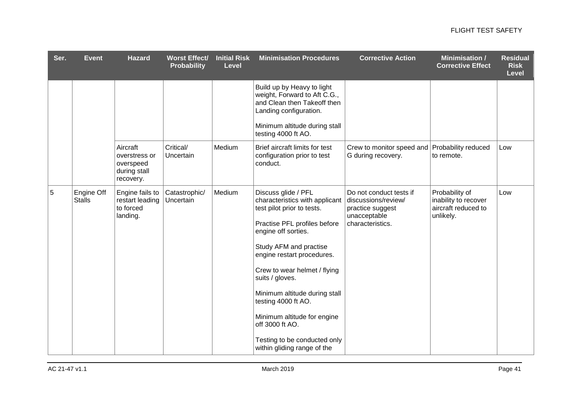| Ser. | <b>Event</b>                | <b>Hazard</b>                                                       | <b>Worst Effect/</b><br><b>Probability</b> | <b>Initial Risk</b><br><b>Level</b> | <b>Minimisation Procedures</b>                                                                                                                                                                                                                                                                                                                                                                                                 | <b>Corrective Action</b>                                                                               | <b>Minimisation /</b><br><b>Corrective Effect</b>                          | <b>Residual</b><br><b>Risk</b><br><b>Level</b> |
|------|-----------------------------|---------------------------------------------------------------------|--------------------------------------------|-------------------------------------|--------------------------------------------------------------------------------------------------------------------------------------------------------------------------------------------------------------------------------------------------------------------------------------------------------------------------------------------------------------------------------------------------------------------------------|--------------------------------------------------------------------------------------------------------|----------------------------------------------------------------------------|------------------------------------------------|
|      |                             |                                                                     |                                            |                                     | Build up by Heavy to light<br>weight, Forward to Aft C.G.,<br>and Clean then Takeoff then<br>Landing configuration.                                                                                                                                                                                                                                                                                                            |                                                                                                        |                                                                            |                                                |
|      |                             |                                                                     |                                            |                                     | Minimum altitude during stall<br>testing 4000 ft AO.                                                                                                                                                                                                                                                                                                                                                                           |                                                                                                        |                                                                            |                                                |
|      |                             | Aircraft<br>overstress or<br>overspeed<br>during stall<br>recovery. | Critical/<br>Uncertain                     | Medium                              | Brief aircraft limits for test<br>configuration prior to test<br>conduct.                                                                                                                                                                                                                                                                                                                                                      | Crew to monitor speed and Probability reduced<br>G during recovery.                                    | to remote.                                                                 | Low                                            |
| 5    | Engine Off<br><b>Stalls</b> | Engine fails to<br>restart leading<br>to forced<br>landing.         | Catastrophic/<br>Uncertain                 | Medium                              | Discuss glide / PFL<br>characteristics with applicant<br>test pilot prior to tests.<br>Practise PFL profiles before<br>engine off sorties.<br>Study AFM and practise<br>engine restart procedures.<br>Crew to wear helmet / flying<br>suits / gloves.<br>Minimum altitude during stall<br>testing 4000 ft AO.<br>Minimum altitude for engine<br>off 3000 ft AO.<br>Testing to be conducted only<br>within gliding range of the | Do not conduct tests if<br>discussions/review/<br>practice suggest<br>unacceptable<br>characteristics. | Probability of<br>inability to recover<br>aircraft reduced to<br>unlikely. | Low                                            |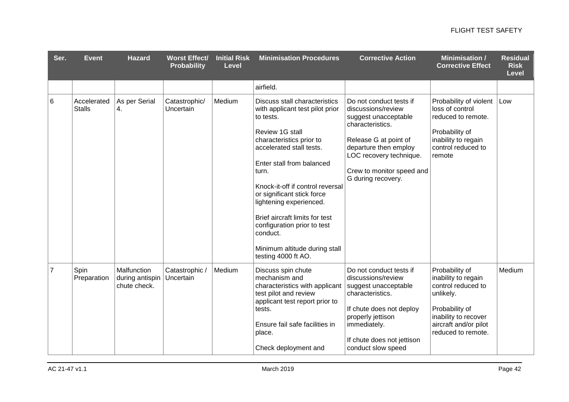| Ser.           | <b>Event</b>                 | <b>Hazard</b>                                  | <b>Worst Effect/</b><br><b>Probability</b> | <b>Initial Risk</b><br><b>Level</b> | <b>Minimisation Procedures</b>                                                                                                                                                                                                                                                                                                                                                                                                          | <b>Corrective Action</b>                                                                                                                                                                                                  | <b>Minimisation /</b><br><b>Corrective Effect</b>                                                                                                                 | <b>Residual</b><br><b>Risk</b><br><b>Level</b> |
|----------------|------------------------------|------------------------------------------------|--------------------------------------------|-------------------------------------|-----------------------------------------------------------------------------------------------------------------------------------------------------------------------------------------------------------------------------------------------------------------------------------------------------------------------------------------------------------------------------------------------------------------------------------------|---------------------------------------------------------------------------------------------------------------------------------------------------------------------------------------------------------------------------|-------------------------------------------------------------------------------------------------------------------------------------------------------------------|------------------------------------------------|
|                |                              |                                                |                                            |                                     | airfield.                                                                                                                                                                                                                                                                                                                                                                                                                               |                                                                                                                                                                                                                           |                                                                                                                                                                   |                                                |
| 6              | Accelerated<br><b>Stalls</b> | As per Serial<br>4.                            | Catastrophic/<br>Uncertain                 | Medium                              | <b>Discuss stall characteristics</b><br>with applicant test pilot prior<br>to tests.<br>Review 1G stall<br>characteristics prior to<br>accelerated stall tests.<br>Enter stall from balanced<br>turn.<br>Knock-it-off if control reversal<br>or significant stick force<br>lightening experienced.<br>Brief aircraft limits for test<br>configuration prior to test<br>conduct.<br>Minimum altitude during stall<br>testing 4000 ft AO. | Do not conduct tests if<br>discussions/review<br>suggest unacceptable<br>characteristics.<br>Release G at point of<br>departure then employ<br>LOC recovery technique.<br>Crew to monitor speed and<br>G during recovery. | Probability of violent<br>loss of control<br>reduced to remote.<br>Probability of<br>inability to regain<br>control reduced to<br>remote                          | Low                                            |
| $\overline{7}$ | Spin<br>Preparation          | Malfunction<br>during antispin<br>chute check. | Catastrophic /<br>Uncertain                | Medium                              | Discuss spin chute<br>mechanism and<br>characteristics with applicant<br>test pilot and review<br>applicant test report prior to<br>tests.<br>Ensure fail safe facilities in<br>place.<br>Check deployment and                                                                                                                                                                                                                          | Do not conduct tests if<br>discussions/review<br>suggest unacceptable<br>characteristics.<br>If chute does not deploy<br>properly jettison<br>immediately.<br>If chute does not jettison<br>conduct slow speed            | Probability of<br>inability to regain<br>control reduced to<br>unlikely.<br>Probability of<br>inability to recover<br>aircraft and/or pilot<br>reduced to remote. | Medium                                         |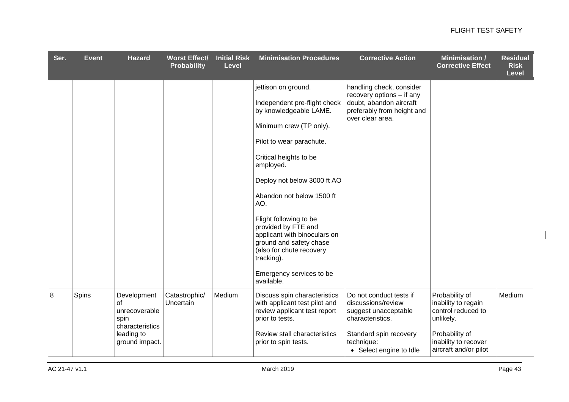| Ser. | <b>Event</b> | <b>Hazard</b>                                                                                 | <b>Worst Effect/</b><br><b>Probability</b> | <b>Initial Risk</b><br><b>Level</b> | <b>Minimisation Procedures</b>                                                                                                                                                                                                                                                                                                                                                                                                                 | <b>Corrective Action</b>                                                                                                                                     | <b>Minimisation /</b><br><b>Corrective Effect</b>                                                                                           | <b>Residual</b><br><b>Risk</b><br><b>Level</b> |
|------|--------------|-----------------------------------------------------------------------------------------------|--------------------------------------------|-------------------------------------|------------------------------------------------------------------------------------------------------------------------------------------------------------------------------------------------------------------------------------------------------------------------------------------------------------------------------------------------------------------------------------------------------------------------------------------------|--------------------------------------------------------------------------------------------------------------------------------------------------------------|---------------------------------------------------------------------------------------------------------------------------------------------|------------------------------------------------|
|      |              |                                                                                               |                                            |                                     | jettison on ground.<br>Independent pre-flight check<br>by knowledgeable LAME.<br>Minimum crew (TP only).<br>Pilot to wear parachute.<br>Critical heights to be<br>employed.<br>Deploy not below 3000 ft AO<br>Abandon not below 1500 ft<br>AO.<br>Flight following to be<br>provided by FTE and<br>applicant with binoculars on<br>ground and safety chase<br>(also for chute recovery<br>tracking).<br>Emergency services to be<br>available. | handling check, consider<br>recovery options - if any<br>doubt, abandon aircraft<br>preferably from height and<br>over clear area.                           |                                                                                                                                             |                                                |
| 8    | Spins        | Development<br>of<br>unrecoverable<br>spin<br>characteristics<br>leading to<br>ground impact. | Catastrophic/<br>Uncertain                 | Medium                              | Discuss spin characteristics<br>with applicant test pilot and<br>review applicant test report<br>prior to tests.<br>Review stall characteristics<br>prior to spin tests.                                                                                                                                                                                                                                                                       | Do not conduct tests if<br>discussions/review<br>suggest unacceptable<br>characteristics.<br>Standard spin recovery<br>technique:<br>• Select engine to Idle | Probability of<br>inability to regain<br>control reduced to<br>unlikely.<br>Probability of<br>inability to recover<br>aircraft and/or pilot | Medium                                         |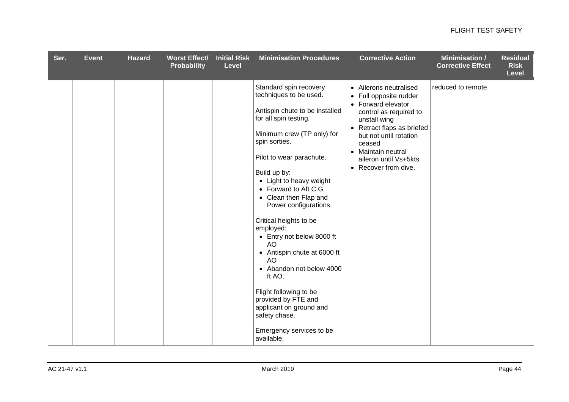| Ser. | Event | <b>Hazard</b> | <b>Worst Effect/</b><br><b>Probability</b> | <b>Initial Risk</b><br><b>Level</b> | <b>Minimisation Procedures</b>                                                                                                                                                                                                                                                                                                                                                                                                                                                                                                                                                                          | <b>Corrective Action</b>                                                                                                                                                                                                                                  | <b>Minimisation /</b><br><b>Corrective Effect</b> | <b>Residual</b><br><b>Risk</b><br><b>Level</b> |
|------|-------|---------------|--------------------------------------------|-------------------------------------|---------------------------------------------------------------------------------------------------------------------------------------------------------------------------------------------------------------------------------------------------------------------------------------------------------------------------------------------------------------------------------------------------------------------------------------------------------------------------------------------------------------------------------------------------------------------------------------------------------|-----------------------------------------------------------------------------------------------------------------------------------------------------------------------------------------------------------------------------------------------------------|---------------------------------------------------|------------------------------------------------|
|      |       |               |                                            |                                     | Standard spin recovery<br>techniques to be used.<br>Antispin chute to be installed<br>for all spin testing.<br>Minimum crew (TP only) for<br>spin sorties.<br>Pilot to wear parachute.<br>Build up by:<br>• Light to heavy weight<br>• Forward to Aft C.G<br>• Clean then Flap and<br>Power configurations.<br>Critical heights to be<br>employed:<br>• Entry not below 8000 ft<br>AO<br>• Antispin chute at 6000 ft<br>AO<br>• Abandon not below 4000<br>ft AO.<br>Flight following to be<br>provided by FTE and<br>applicant on ground and<br>safety chase.<br>Emergency services to be<br>available. | • Ailerons neutralised<br>• Full opposite rudder<br>• Forward elevator<br>control as required to<br>unstall wing<br>• Retract flaps as briefed<br>but not until rotation<br>ceased<br>• Maintain neutral<br>aileron until Vs+5kts<br>• Recover from dive. | reduced to remote.                                |                                                |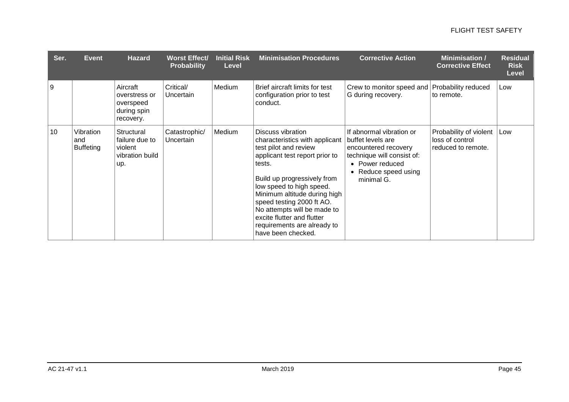| Ser. | <b>Event</b>                         | <b>Hazard</b>                                                      | <b>Worst Effect/</b><br><b>Probability</b> | <b>Initial Risk</b><br><b>Level</b> | <b>Minimisation Procedures</b>                                                                                                                                                                                                                                                                                                                                     | <b>Corrective Action</b>                                                                                                                                     | <b>Minimisation /</b><br><b>Corrective Effect</b>               | <b>Residual</b><br><b>Risk</b><br><b>Level</b> |
|------|--------------------------------------|--------------------------------------------------------------------|--------------------------------------------|-------------------------------------|--------------------------------------------------------------------------------------------------------------------------------------------------------------------------------------------------------------------------------------------------------------------------------------------------------------------------------------------------------------------|--------------------------------------------------------------------------------------------------------------------------------------------------------------|-----------------------------------------------------------------|------------------------------------------------|
| 9    |                                      | Aircraft<br>overstress or<br>overspeed<br>during spin<br>recovery. | Critical/<br>Uncertain                     | Medium                              | Brief aircraft limits for test<br>configuration prior to test<br>conduct.                                                                                                                                                                                                                                                                                          | Crew to monitor speed and Probability reduced<br>G during recovery.                                                                                          | to remote.                                                      | Low                                            |
| 10   | Vibration<br>and<br><b>Buffeting</b> | Structural<br>failure due to<br>violent<br>vibration build<br>up.  | Catastrophic/<br>Uncertain                 | Medium                              | Discuss vibration<br>characteristics with applicant<br>test pilot and review<br>applicant test report prior to<br>tests.<br>Build up progressively from<br>low speed to high speed.<br>Minimum altitude during high<br>speed testing 2000 ft AO.<br>No attempts will be made to<br>excite flutter and flutter<br>requirements are already to<br>have been checked. | If abnormal vibration or<br>buffet levels are<br>encountered recovery<br>technique will consist of:<br>• Power reduced<br>• Reduce speed using<br>minimal G. | Probability of violent<br>loss of control<br>reduced to remote. | Low                                            |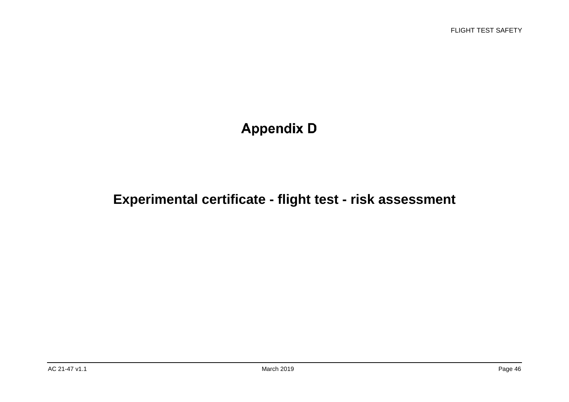# **Appendix D**

# **Experimental certificate - flight test - risk assessment**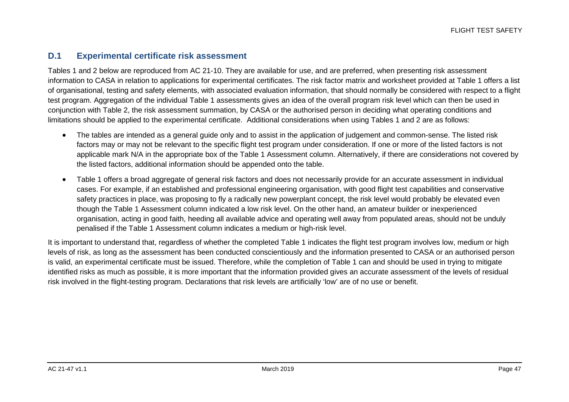#### **D.1 Experimental certificate risk assessment**

Tables 1 and 2 below are reproduced from AC 21-10. They are available for use, and are preferred, when presenting risk assessment information to CASA in relation to applications for experimental certificates. The risk factor matrix and worksheet provided at Table 1 offers a list of organisational, testing and safety elements, with associated evaluation information, that should normally be considered with respect to a flight test program. Aggregation of the individual Table 1 assessments gives an idea of the overall program risk level which can then be used in conjunction with Table 2, the risk assessment summation, by CASA or the authorised person in deciding what operating conditions and limitations should be applied to the experimental certificate. Additional considerations when using Tables 1 and 2 are as follows:

- The tables are intended as a general guide only and to assist in the application of judgement and common-sense. The listed risk factors may or may not be relevant to the specific flight test program under consideration. If one or more of the listed factors is not applicable mark N/A in the appropriate box of the Table 1 Assessment column. Alternatively, if there are considerations not covered by the listed factors, additional information should be appended onto the table.
- Table 1 offers a broad aggregate of general risk factors and does not necessarily provide for an accurate assessment in individual cases. For example, if an established and professional engineering organisation, with good flight test capabilities and conservative safety practices in place, was proposing to fly a radically new powerplant concept, the risk level would probably be elevated even though the Table 1 Assessment column indicated a low risk level. On the other hand, an amateur builder or inexperienced organisation, acting in good faith, heeding all available advice and operating well away from populated areas, should not be unduly penalised if the Table 1 Assessment column indicates a medium or high-risk level.

It is important to understand that, regardless of whether the completed Table 1 indicates the flight test program involves low, medium or high levels of risk, as long as the assessment has been conducted conscientiously and the information presented to CASA or an authorised person is valid, an experimental certificate must be issued. Therefore, while the completion of Table 1 can and should be used in trying to mitigate identified risks as much as possible, it is more important that the information provided gives an accurate assessment of the levels of residual risk involved in the flight-testing program. Declarations that risk levels are artificially 'low' are of no use or benefit.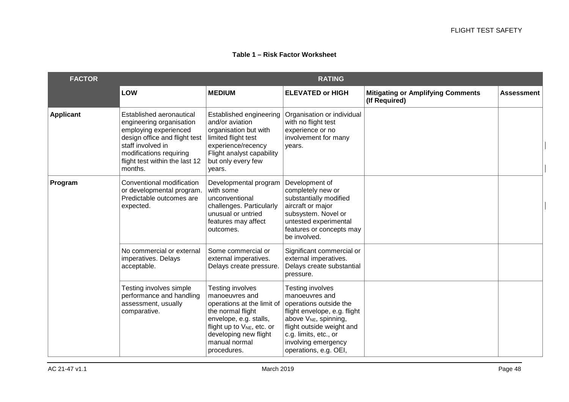#### **Table 1 – Risk Factor Worksheet**

| <b>FACTOR</b>    |                                                                                                                                                                                                             |                                                                                                                                                                                                             | <b>RATING</b>                                                                                                                                                                                                                                  |                                                           |                   |
|------------------|-------------------------------------------------------------------------------------------------------------------------------------------------------------------------------------------------------------|-------------------------------------------------------------------------------------------------------------------------------------------------------------------------------------------------------------|------------------------------------------------------------------------------------------------------------------------------------------------------------------------------------------------------------------------------------------------|-----------------------------------------------------------|-------------------|
|                  | <b>LOW</b>                                                                                                                                                                                                  | <b>MEDIUM</b>                                                                                                                                                                                               | <b>ELEVATED or HIGH</b>                                                                                                                                                                                                                        | <b>Mitigating or Amplifying Comments</b><br>(If Required) | <b>Assessment</b> |
| <b>Applicant</b> | Established aeronautical<br>engineering organisation<br>employing experienced<br>design office and flight test<br>staff involved in<br>modifications requiring<br>flight test within the last 12<br>months. | Established engineering<br>and/or aviation<br>organisation but with<br>limited flight test<br>experience/recency<br>Flight analyst capability<br>but only every few<br>years.                               | Organisation or individual<br>with no flight test<br>experience or no<br>involvement for many<br>years.                                                                                                                                        |                                                           |                   |
| Program          | Conventional modification<br>or developmental program.<br>Predictable outcomes are<br>expected.                                                                                                             | Developmental program<br>with some<br>unconventional<br>challenges. Particularly<br>unusual or untried<br>features may affect<br>outcomes.                                                                  | Development of<br>completely new or<br>substantially modified<br>aircraft or major<br>subsystem. Novel or<br>untested experimental<br>features or concepts may<br>be involved.                                                                 |                                                           |                   |
|                  | No commercial or external<br>imperatives. Delays<br>acceptable.                                                                                                                                             | Some commercial or<br>external imperatives.<br>Delays create pressure.                                                                                                                                      | Significant commercial or<br>external imperatives.<br>Delays create substantial<br>pressure.                                                                                                                                                   |                                                           |                   |
|                  | Testing involves simple<br>performance and handling<br>assessment, usually<br>comparative.                                                                                                                  | Testing involves<br>manoeuvres and<br>operations at the limit of<br>the normal flight<br>envelope, e.g. stalls,<br>flight up to $V_{NE}$ , etc. or<br>developing new flight<br>manual normal<br>procedures. | <b>Testing involves</b><br>manoeuvres and<br>operations outside the<br>flight envelope, e.g. flight<br>above V <sub>NE</sub> , spinning,<br>flight outside weight and<br>c.g. limits, etc., or<br>involving emergency<br>operations, e.g. OEI, |                                                           |                   |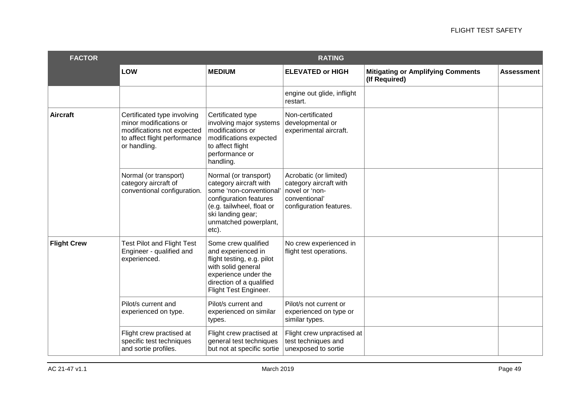| <b>FACTOR</b>      |                                                                                                                                     |                                                                                                                                                                                          | <b>RATING</b>                                                                                                  |                                                           |                   |
|--------------------|-------------------------------------------------------------------------------------------------------------------------------------|------------------------------------------------------------------------------------------------------------------------------------------------------------------------------------------|----------------------------------------------------------------------------------------------------------------|-----------------------------------------------------------|-------------------|
|                    | LOW                                                                                                                                 | <b>MEDIUM</b>                                                                                                                                                                            | <b>ELEVATED or HIGH</b>                                                                                        | <b>Mitigating or Amplifying Comments</b><br>(If Required) | <b>Assessment</b> |
|                    |                                                                                                                                     |                                                                                                                                                                                          | engine out glide, inflight<br>restart.                                                                         |                                                           |                   |
| Aircraft           | Certificated type involving<br>minor modifications or<br>modifications not expected<br>to affect flight performance<br>or handling. | Certificated type<br>involving major systems<br>modifications or<br>modifications expected<br>to affect flight<br>performance or<br>handling.                                            | Non-certificated<br>developmental or<br>experimental aircraft.                                                 |                                                           |                   |
|                    | Normal (or transport)<br>category aircraft of<br>conventional configuration.                                                        | Normal (or transport)<br>category aircraft with<br>some 'non-conventional'<br>configuration features<br>(e.g. tailwheel, float or<br>ski landing gear;<br>unmatched powerplant,<br>etc). | Acrobatic (or limited)<br>category aircraft with<br>novel or 'non-<br>conventional'<br>configuration features. |                                                           |                   |
| <b>Flight Crew</b> | <b>Test Pilot and Flight Test</b><br>Engineer - qualified and<br>experienced.                                                       | Some crew qualified<br>and experienced in<br>flight testing, e.g. pilot<br>with solid general<br>experience under the<br>direction of a qualified<br>Flight Test Engineer.               | No crew experienced in<br>flight test operations.                                                              |                                                           |                   |
|                    | Pilot/s current and<br>experienced on type.                                                                                         | Pilot/s current and<br>experienced on similar<br>types.                                                                                                                                  | Pilot/s not current or<br>experienced on type or<br>similar types.                                             |                                                           |                   |
|                    | Flight crew practised at<br>specific test techniques<br>and sortie profiles.                                                        | Flight crew practised at<br>general test techniques<br>but not at specific sortie                                                                                                        | Flight crew unpractised at<br>test techniques and<br>unexposed to sortie                                       |                                                           |                   |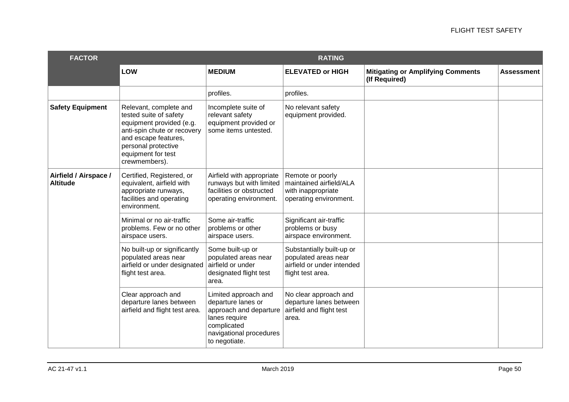| <b>FACTOR</b>                            |                                                                                                                                                                                                   |                                                                                                                                                  | <b>RATING</b>                                                                                        |                                                           |                   |
|------------------------------------------|---------------------------------------------------------------------------------------------------------------------------------------------------------------------------------------------------|--------------------------------------------------------------------------------------------------------------------------------------------------|------------------------------------------------------------------------------------------------------|-----------------------------------------------------------|-------------------|
|                                          | LOW                                                                                                                                                                                               | <b>MEDIUM</b>                                                                                                                                    | <b>ELEVATED or HIGH</b>                                                                              | <b>Mitigating or Amplifying Comments</b><br>(If Required) | <b>Assessment</b> |
|                                          |                                                                                                                                                                                                   | profiles.                                                                                                                                        | profiles.                                                                                            |                                                           |                   |
| <b>Safety Equipment</b>                  | Relevant, complete and<br>tested suite of safety<br>equipment provided (e.g.<br>anti-spin chute or recovery<br>and escape features,<br>personal protective<br>equipment for test<br>crewmembers). | Incomplete suite of<br>relevant safety<br>equipment provided or<br>some items untested.                                                          | No relevant safety<br>equipment provided.                                                            |                                                           |                   |
| Airfield / Airspace /<br><b>Altitude</b> | Certified, Registered, or<br>equivalent, airfield with<br>appropriate runways,<br>facilities and operating<br>environment.                                                                        | Airfield with appropriate<br>runways but with limited<br>facilities or obstructed<br>operating environment.                                      | Remote or poorly<br>maintained airfield/ALA<br>with inappropriate<br>operating environment.          |                                                           |                   |
|                                          | Minimal or no air-traffic<br>problems. Few or no other<br>airspace users.                                                                                                                         | Some air-traffic<br>problems or other<br>airspace users.                                                                                         | Significant air-traffic<br>problems or busy<br>airspace environment.                                 |                                                           |                   |
|                                          | No built-up or significantly<br>populated areas near<br>airfield or under designated<br>flight test area.                                                                                         | Some built-up or<br>populated areas near<br>airfield or under<br>designated flight test<br>area.                                                 | Substantially built-up or<br>populated areas near<br>airfield or under intended<br>flight test area. |                                                           |                   |
|                                          | Clear approach and<br>departure lanes between<br>airfield and flight test area.                                                                                                                   | Limited approach and<br>departure lanes or<br>approach and departure<br>lanes require<br>complicated<br>navigational procedures<br>to negotiate. | No clear approach and<br>departure lanes between<br>airfield and flight test<br>area.                |                                                           |                   |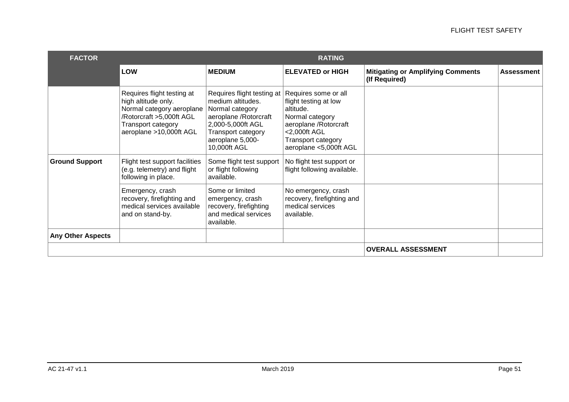| <b>FACTOR</b>            | <b>RATING</b>                                                                                                                                                      |                                                                                                                                                                                    |                                                                                                                                                                         |                                                           |                   |
|--------------------------|--------------------------------------------------------------------------------------------------------------------------------------------------------------------|------------------------------------------------------------------------------------------------------------------------------------------------------------------------------------|-------------------------------------------------------------------------------------------------------------------------------------------------------------------------|-----------------------------------------------------------|-------------------|
|                          | <b>LOW</b>                                                                                                                                                         | <b>MEDIUM</b>                                                                                                                                                                      | <b>ELEVATED or HIGH</b>                                                                                                                                                 | <b>Mitigating or Amplifying Comments</b><br>(If Required) | <b>Assessment</b> |
|                          | Requires flight testing at<br>high altitude only.<br>Normal category aeroplane<br>/Rotorcraft >5,000ft AGL<br><b>Transport category</b><br>aeroplane >10,000ft AGL | Requires flight testing at<br>medium altitudes.<br>Normal category<br>aeroplane / Rotorcraft<br>2,000-5,000ft AGL<br><b>Transport category</b><br>aeroplane 5,000-<br>10,000ft AGL | Requires some or all<br>flight testing at low<br>altitude.<br>Normal category<br>aeroplane / Rotorcraft<br><2,000ft AGL<br>Transport category<br>aeroplane <5,000ft AGL |                                                           |                   |
| <b>Ground Support</b>    | Flight test support facilities<br>(e.g. telemetry) and flight<br>following in place.                                                                               | Some flight test support<br>or flight following<br>available.                                                                                                                      | No flight test support or<br>flight following available.                                                                                                                |                                                           |                   |
|                          | Emergency, crash<br>recovery, firefighting and<br>medical services available<br>and on stand-by.                                                                   | Some or limited<br>emergency, crash<br>recovery, firefighting<br>and medical services<br>available.                                                                                | No emergency, crash<br>recovery, firefighting and<br>medical services<br>available.                                                                                     |                                                           |                   |
| <b>Any Other Aspects</b> |                                                                                                                                                                    |                                                                                                                                                                                    |                                                                                                                                                                         |                                                           |                   |
|                          |                                                                                                                                                                    | <b>OVERALL ASSESSMENT</b>                                                                                                                                                          |                                                                                                                                                                         |                                                           |                   |